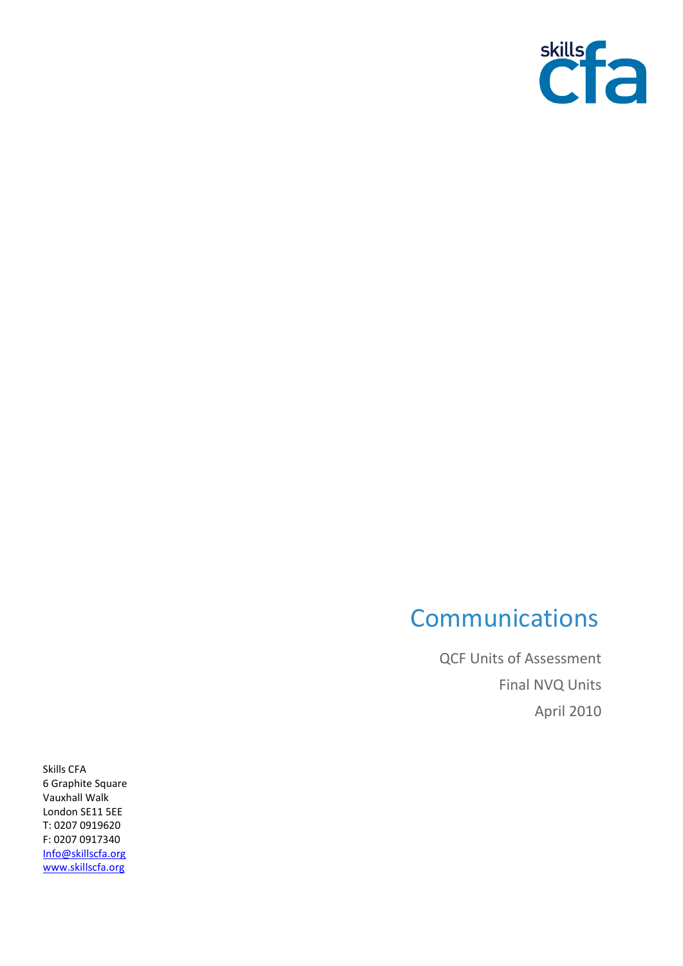

## Communications

QCF Units of Assessment Final NVQ Units April 2010

Skills CFA 6 Graphite Square Vauxhall Walk London SE11 5EE T: 0207 0919620 F: 0207 0917340 [Info@skillscfa.org](mailto:Info@skillscfa.org) [www.skillscfa.org](http://www.skillscfa.org/)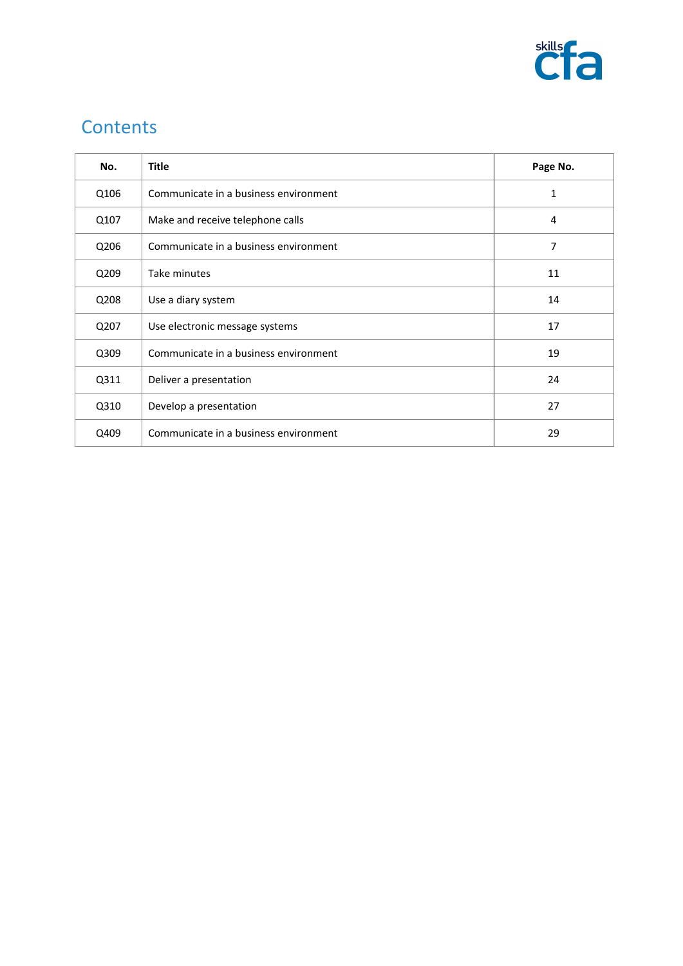

## **Contents**

| No.  | <b>Title</b>                          | Page No. |
|------|---------------------------------------|----------|
| Q106 | Communicate in a business environment | 1        |
| Q107 | Make and receive telephone calls      | 4        |
| Q206 | Communicate in a business environment | 7        |
| Q209 | Take minutes                          | 11       |
| Q208 | Use a diary system                    | 14       |
| Q207 | Use electronic message systems        | 17       |
| Q309 | Communicate in a business environment | 19       |
| Q311 | Deliver a presentation                | 24       |
| Q310 | Develop a presentation                | 27       |
| Q409 | Communicate in a business environment | 29       |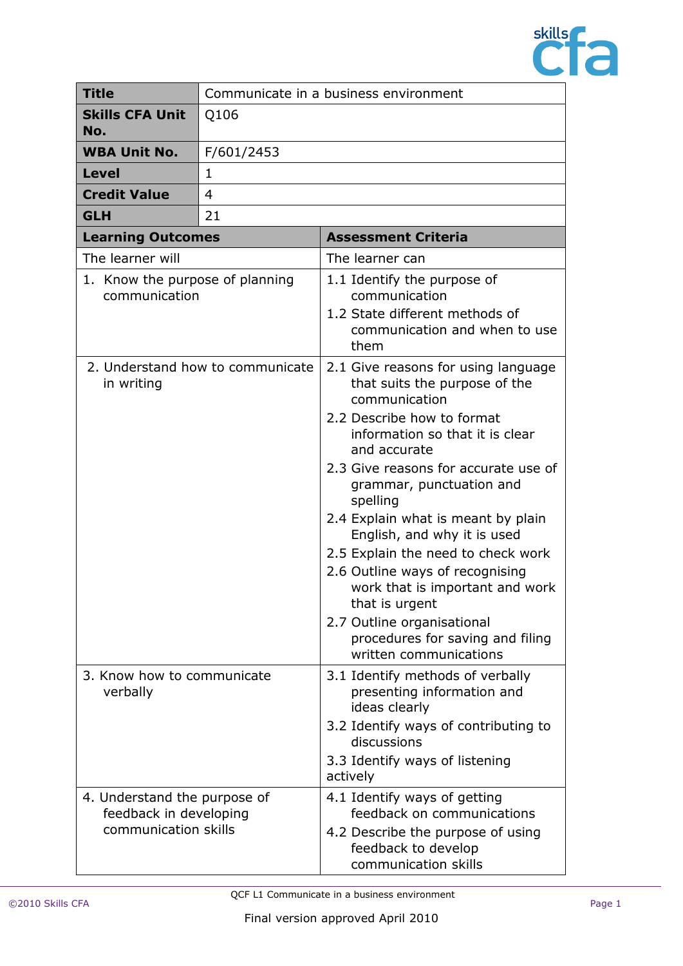

| <b>Title</b>                                     |            | Communicate in a business environment                                                    |
|--------------------------------------------------|------------|------------------------------------------------------------------------------------------|
| <b>Skills CFA Unit</b><br>No.                    | Q106       |                                                                                          |
| <b>WBA Unit No.</b>                              | F/601/2453 |                                                                                          |
| <b>Level</b><br>1                                |            |                                                                                          |
| <b>Credit Value</b>                              | 4          |                                                                                          |
| <b>GLH</b>                                       | 21         |                                                                                          |
| <b>Learning Outcomes</b>                         |            | <b>Assessment Criteria</b>                                                               |
| The learner will                                 |            | The learner can                                                                          |
| 1. Know the purpose of planning<br>communication |            | 1.1 Identify the purpose of<br>communication                                             |
|                                                  |            | 1.2 State different methods of<br>communication and when to use<br>them                  |
| 2. Understand how to communicate<br>in writing   |            | 2.1 Give reasons for using language<br>that suits the purpose of the<br>communication    |
|                                                  |            | 2.2 Describe how to format<br>information so that it is clear<br>and accurate            |
|                                                  |            | 2.3 Give reasons for accurate use of<br>grammar, punctuation and<br>spelling             |
|                                                  |            | 2.4 Explain what is meant by plain<br>English, and why it is used                        |
|                                                  |            | 2.5 Explain the need to check work                                                       |
|                                                  |            | 2.6 Outline ways of recognising<br>work that is important and work<br>that is urgent     |
|                                                  |            | 2.7 Outline organisational<br>procedures for saving and filing<br>written communications |
| 3. Know how to communicate<br>verbally           |            | 3.1 Identify methods of verbally<br>presenting information and<br>ideas clearly          |
|                                                  |            | 3.2 Identify ways of contributing to<br>discussions                                      |
|                                                  |            | 3.3 Identify ways of listening<br>actively                                               |
| 4. Understand the purpose of                     |            | 4.1 Identify ways of getting                                                             |
| feedback in developing                           |            | feedback on communications                                                               |
| communication skills                             |            | 4.2 Describe the purpose of using<br>feedback to develop<br>communication skills         |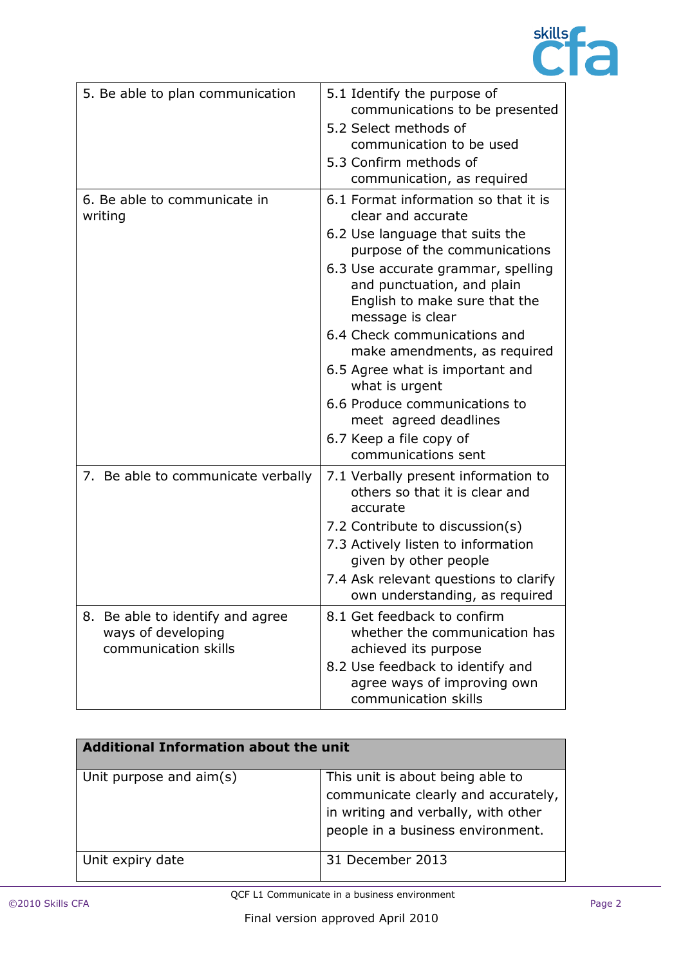

| 5. Be able to plan communication                                       | 5.1 Identify the purpose of<br>communications to be presented<br>5.2 Select methods of<br>communication to be used<br>5.3 Confirm methods of<br>communication, as required                                                                                                                                                                                                                                                                                                               |
|------------------------------------------------------------------------|------------------------------------------------------------------------------------------------------------------------------------------------------------------------------------------------------------------------------------------------------------------------------------------------------------------------------------------------------------------------------------------------------------------------------------------------------------------------------------------|
| 6. Be able to communicate in<br>writing                                | 6.1 Format information so that it is<br>clear and accurate<br>6.2 Use language that suits the<br>purpose of the communications<br>6.3 Use accurate grammar, spelling<br>and punctuation, and plain<br>English to make sure that the<br>message is clear<br>6.4 Check communications and<br>make amendments, as required<br>6.5 Agree what is important and<br>what is urgent<br>6.6 Produce communications to<br>meet agreed deadlines<br>6.7 Keep a file copy of<br>communications sent |
| 7. Be able to communicate verbally<br>8. Be able to identify and agree | 7.1 Verbally present information to<br>others so that it is clear and<br>accurate<br>7.2 Contribute to discussion(s)<br>7.3 Actively listen to information<br>given by other people<br>7.4 Ask relevant questions to clarify<br>own understanding, as required<br>8.1 Get feedback to confirm                                                                                                                                                                                            |
| ways of developing<br>communication skills                             | whether the communication has<br>achieved its purpose<br>8.2 Use feedback to identify and<br>agree ways of improving own<br>communication skills                                                                                                                                                                                                                                                                                                                                         |

| <b>Additional Information about the unit</b> |                                                                                                                                                     |  |
|----------------------------------------------|-----------------------------------------------------------------------------------------------------------------------------------------------------|--|
| Unit purpose and aim(s)                      | This unit is about being able to<br>communicate clearly and accurately,<br>in writing and verbally, with other<br>people in a business environment. |  |
| Unit expiry date                             | 31 December 2013                                                                                                                                    |  |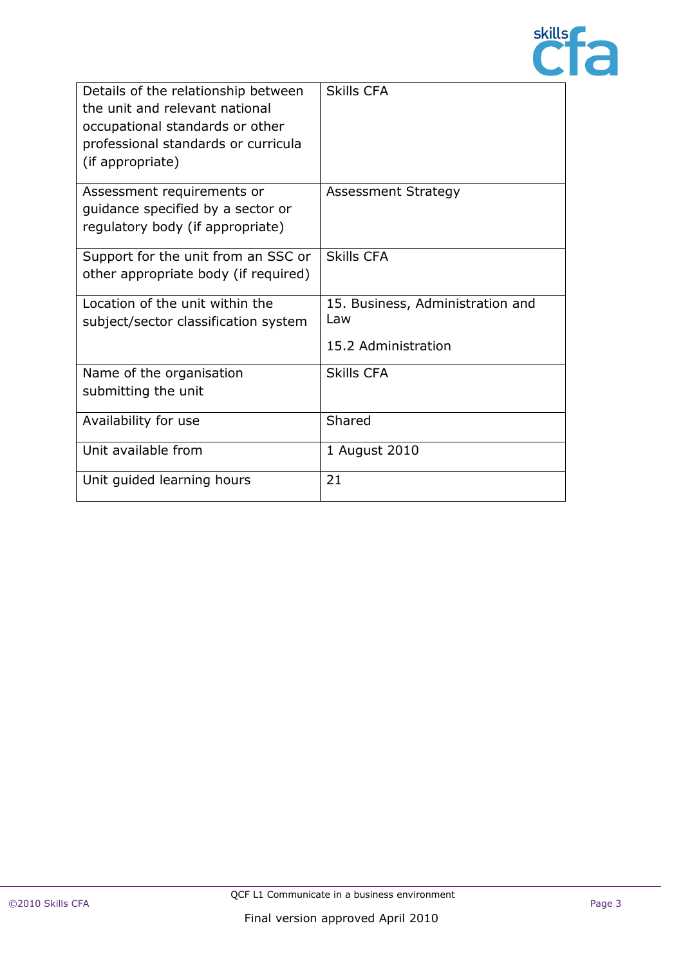

| Details of the relationship between<br>the unit and relevant national<br>occupational standards or other<br>professional standards or curricula<br>(if appropriate) | <b>Skills CFA</b>                                              |
|---------------------------------------------------------------------------------------------------------------------------------------------------------------------|----------------------------------------------------------------|
| Assessment requirements or<br>guidance specified by a sector or<br>regulatory body (if appropriate)                                                                 | Assessment Strategy                                            |
| Support for the unit from an SSC or<br>other appropriate body (if required)                                                                                         | <b>Skills CFA</b>                                              |
| Location of the unit within the<br>subject/sector classification system                                                                                             | 15. Business, Administration and<br>Law<br>15.2 Administration |
| Name of the organisation<br>submitting the unit                                                                                                                     | <b>Skills CFA</b>                                              |
| Availability for use                                                                                                                                                | Shared                                                         |
| Unit available from                                                                                                                                                 | 1 August 2010                                                  |
| Unit guided learning hours                                                                                                                                          | 21                                                             |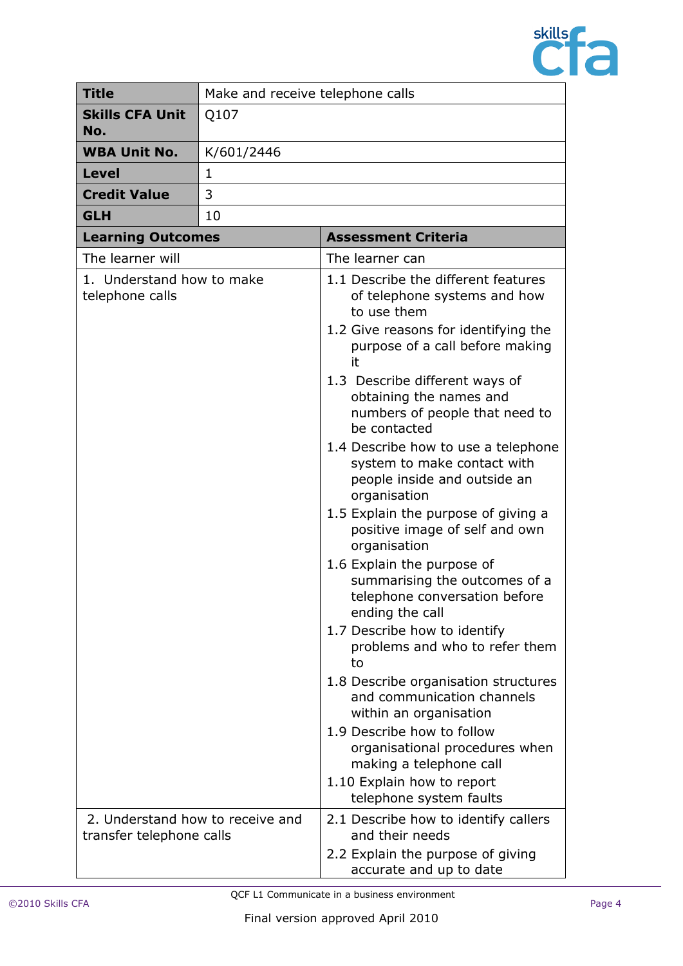

| <b>Title</b>                                                 | Make and receive telephone calls |                                                                                                                                                                                                                                                                                                                                                                                                                                                                                                                                                                                                                                                                                                                                                                                                                                                                                                                       |
|--------------------------------------------------------------|----------------------------------|-----------------------------------------------------------------------------------------------------------------------------------------------------------------------------------------------------------------------------------------------------------------------------------------------------------------------------------------------------------------------------------------------------------------------------------------------------------------------------------------------------------------------------------------------------------------------------------------------------------------------------------------------------------------------------------------------------------------------------------------------------------------------------------------------------------------------------------------------------------------------------------------------------------------------|
| <b>Skills CFA Unit</b><br>No.                                | Q107                             |                                                                                                                                                                                                                                                                                                                                                                                                                                                                                                                                                                                                                                                                                                                                                                                                                                                                                                                       |
| <b>WBA Unit No.</b>                                          | K/601/2446                       |                                                                                                                                                                                                                                                                                                                                                                                                                                                                                                                                                                                                                                                                                                                                                                                                                                                                                                                       |
| <b>Level</b>                                                 | 1                                |                                                                                                                                                                                                                                                                                                                                                                                                                                                                                                                                                                                                                                                                                                                                                                                                                                                                                                                       |
| <b>Credit Value</b>                                          | 3                                |                                                                                                                                                                                                                                                                                                                                                                                                                                                                                                                                                                                                                                                                                                                                                                                                                                                                                                                       |
| <b>GLH</b>                                                   | 10                               |                                                                                                                                                                                                                                                                                                                                                                                                                                                                                                                                                                                                                                                                                                                                                                                                                                                                                                                       |
| <b>Learning Outcomes</b>                                     |                                  | <b>Assessment Criteria</b>                                                                                                                                                                                                                                                                                                                                                                                                                                                                                                                                                                                                                                                                                                                                                                                                                                                                                            |
| The learner will                                             |                                  | The learner can                                                                                                                                                                                                                                                                                                                                                                                                                                                                                                                                                                                                                                                                                                                                                                                                                                                                                                       |
| 1. Understand how to make<br>telephone calls                 |                                  | 1.1 Describe the different features<br>of telephone systems and how<br>to use them<br>1.2 Give reasons for identifying the<br>purpose of a call before making<br>it<br>1.3 Describe different ways of<br>obtaining the names and<br>numbers of people that need to<br>be contacted<br>1.4 Describe how to use a telephone<br>system to make contact with<br>people inside and outside an<br>organisation<br>1.5 Explain the purpose of giving a<br>positive image of self and own<br>organisation<br>1.6 Explain the purpose of<br>summarising the outcomes of a<br>telephone conversation before<br>ending the call<br>1.7 Describe how to identify<br>problems and who to refer them<br>to<br>1.8 Describe organisation structures<br>and communication channels<br>within an organisation<br>1.9 Describe how to follow<br>organisational procedures when<br>making a telephone call<br>1.10 Explain how to report |
|                                                              |                                  | telephone system faults                                                                                                                                                                                                                                                                                                                                                                                                                                                                                                                                                                                                                                                                                                                                                                                                                                                                                               |
| 2. Understand how to receive and<br>transfer telephone calls |                                  | 2.1 Describe how to identify callers<br>and their needs<br>2.2 Explain the purpose of giving<br>accurate and up to date                                                                                                                                                                                                                                                                                                                                                                                                                                                                                                                                                                                                                                                                                                                                                                                               |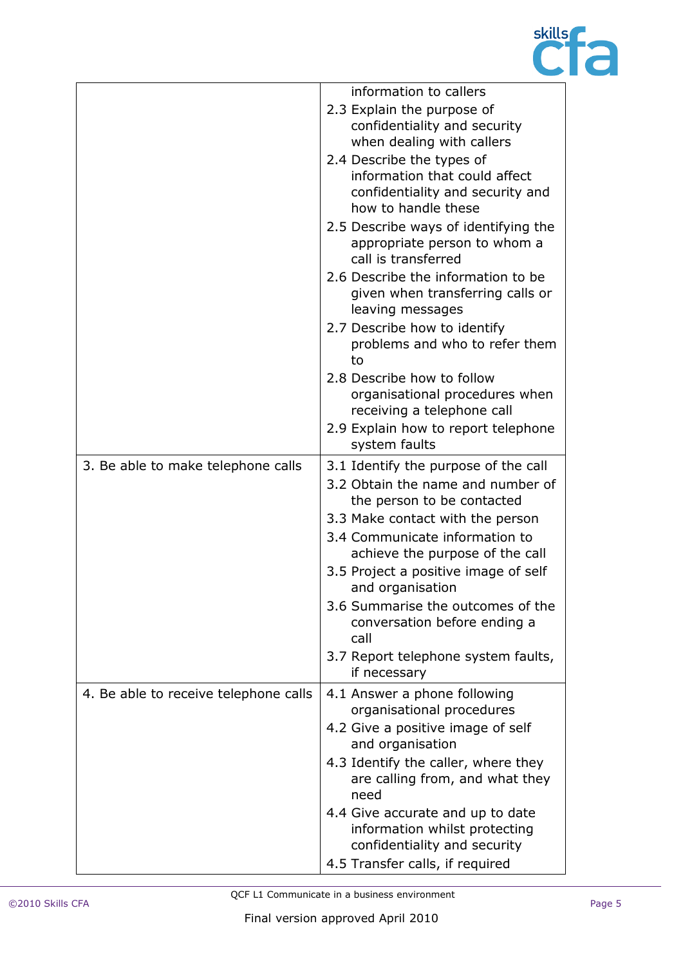

|                                       | information to callers                                                                            |
|---------------------------------------|---------------------------------------------------------------------------------------------------|
|                                       | 2.3 Explain the purpose of                                                                        |
|                                       | confidentiality and security                                                                      |
|                                       | when dealing with callers                                                                         |
|                                       | 2.4 Describe the types of                                                                         |
|                                       | information that could affect                                                                     |
|                                       | confidentiality and security and                                                                  |
|                                       | how to handle these                                                                               |
|                                       | 2.5 Describe ways of identifying the<br>appropriate person to whom a<br>call is transferred       |
|                                       | 2.6 Describe the information to be                                                                |
|                                       | given when transferring calls or<br>leaving messages                                              |
|                                       | 2.7 Describe how to identify<br>problems and who to refer them<br>to                              |
|                                       | 2.8 Describe how to follow                                                                        |
|                                       | organisational procedures when<br>receiving a telephone call                                      |
|                                       | 2.9 Explain how to report telephone                                                               |
|                                       | system faults                                                                                     |
| 3. Be able to make telephone calls    | 3.1 Identify the purpose of the call                                                              |
|                                       | 3.2 Obtain the name and number of<br>the person to be contacted                                   |
|                                       | 3.3 Make contact with the person                                                                  |
|                                       | 3.4 Communicate information to<br>achieve the purpose of the call                                 |
|                                       | 3.5 Project a positive image of self<br>and organisation                                          |
|                                       | 3.6 Summarise the outcomes of the                                                                 |
|                                       | conversation before ending a<br>call                                                              |
|                                       | 3.7 Report telephone system faults,<br>if necessary                                               |
| 4. Be able to receive telephone calls | 4.1 Answer a phone following<br>organisational procedures                                         |
|                                       | 4.2 Give a positive image of self<br>and organisation                                             |
|                                       | 4.3 Identify the caller, where they<br>are calling from, and what they<br>need                    |
|                                       | 4.4 Give accurate and up to date<br>information whilst protecting<br>confidentiality and security |
|                                       | 4.5 Transfer calls, if required                                                                   |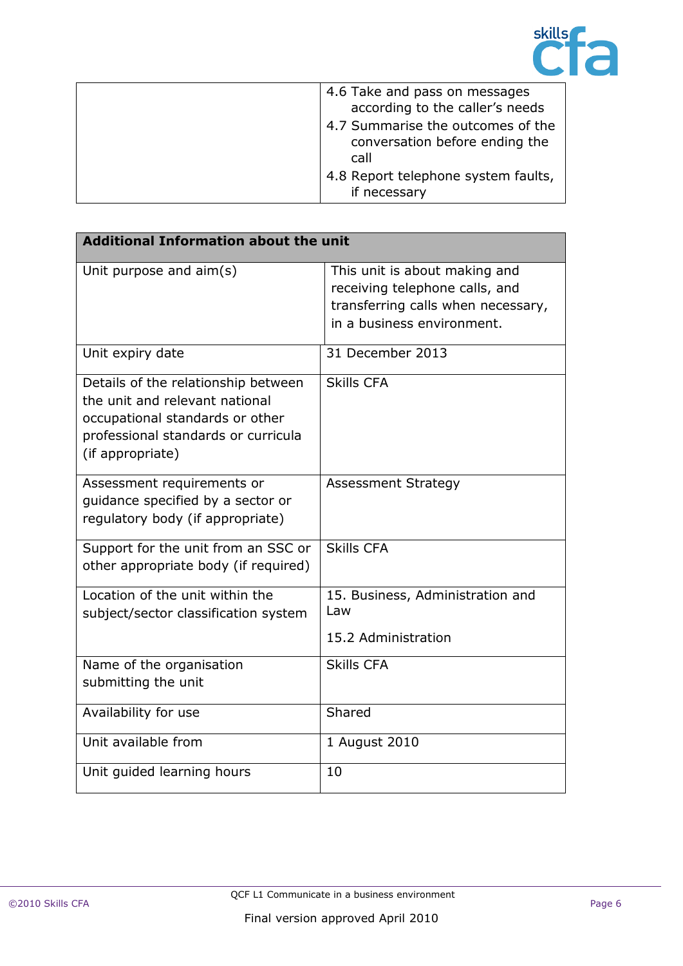

| 4.6 Take and pass on messages<br>according to the caller's needs            |
|-----------------------------------------------------------------------------|
| 4.7 Summarise the outcomes of the<br>conversation before ending the<br>call |
| 4.8 Report telephone system faults,<br>if necessary                         |

| <b>Additional Information about the unit</b>                                                                                                                        |                                                                                                                                     |  |
|---------------------------------------------------------------------------------------------------------------------------------------------------------------------|-------------------------------------------------------------------------------------------------------------------------------------|--|
| Unit purpose and aim(s)                                                                                                                                             | This unit is about making and<br>receiving telephone calls, and<br>transferring calls when necessary,<br>in a business environment. |  |
| Unit expiry date                                                                                                                                                    | 31 December 2013                                                                                                                    |  |
| Details of the relationship between<br>the unit and relevant national<br>occupational standards or other<br>professional standards or curricula<br>(if appropriate) | <b>Skills CFA</b>                                                                                                                   |  |
| Assessment requirements or<br>quidance specified by a sector or<br>regulatory body (if appropriate)                                                                 | <b>Assessment Strategy</b>                                                                                                          |  |
| Support for the unit from an SSC or<br>other appropriate body (if required)                                                                                         | <b>Skills CFA</b>                                                                                                                   |  |
| Location of the unit within the<br>subject/sector classification system                                                                                             | 15. Business, Administration and<br>Law<br>15.2 Administration                                                                      |  |
| Name of the organisation<br>submitting the unit                                                                                                                     | <b>Skills CFA</b>                                                                                                                   |  |
| Availability for use                                                                                                                                                | Shared                                                                                                                              |  |
| Unit available from                                                                                                                                                 | 1 August 2010                                                                                                                       |  |
| Unit guided learning hours                                                                                                                                          | 10                                                                                                                                  |  |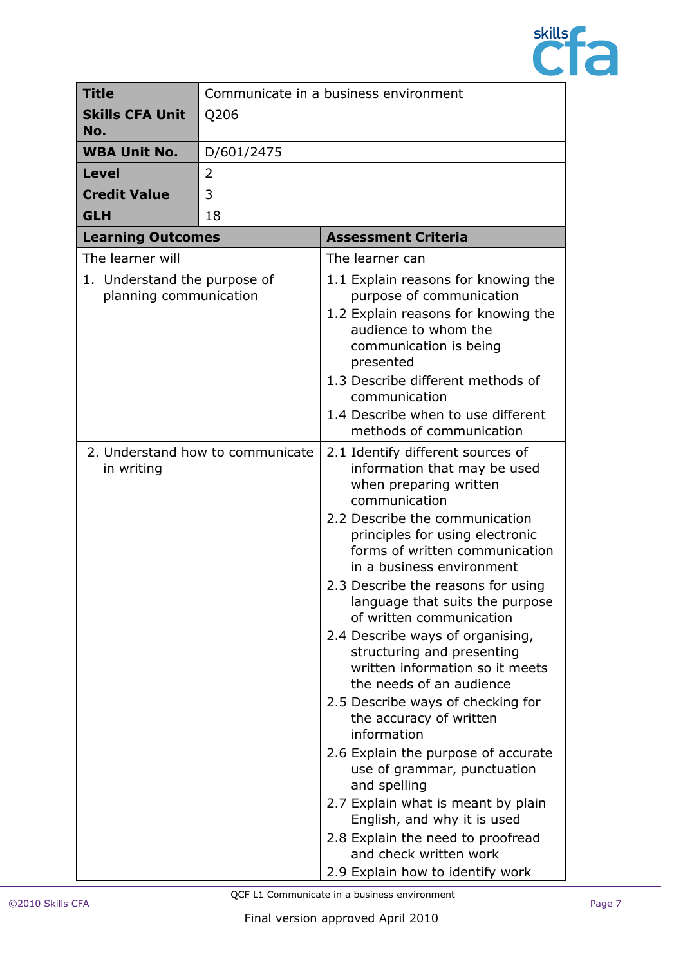

| <b>Title</b>                                                                               |            | Communicate in a business environment                                                                                                                                                                                                                                                                                                                                                                                                                                                                                                                                                                                                                                                                                                                                                          |
|--------------------------------------------------------------------------------------------|------------|------------------------------------------------------------------------------------------------------------------------------------------------------------------------------------------------------------------------------------------------------------------------------------------------------------------------------------------------------------------------------------------------------------------------------------------------------------------------------------------------------------------------------------------------------------------------------------------------------------------------------------------------------------------------------------------------------------------------------------------------------------------------------------------------|
| <b>Skills CFA Unit</b><br>No.                                                              | Q206       |                                                                                                                                                                                                                                                                                                                                                                                                                                                                                                                                                                                                                                                                                                                                                                                                |
| <b>WBA Unit No.</b>                                                                        | D/601/2475 |                                                                                                                                                                                                                                                                                                                                                                                                                                                                                                                                                                                                                                                                                                                                                                                                |
| <b>Level</b>                                                                               | 2          |                                                                                                                                                                                                                                                                                                                                                                                                                                                                                                                                                                                                                                                                                                                                                                                                |
| <b>Credit Value</b>                                                                        | 3          |                                                                                                                                                                                                                                                                                                                                                                                                                                                                                                                                                                                                                                                                                                                                                                                                |
| <b>GLH</b>                                                                                 | 18         |                                                                                                                                                                                                                                                                                                                                                                                                                                                                                                                                                                                                                                                                                                                                                                                                |
| <b>Learning Outcomes</b>                                                                   |            | <b>Assessment Criteria</b>                                                                                                                                                                                                                                                                                                                                                                                                                                                                                                                                                                                                                                                                                                                                                                     |
| The learner will                                                                           |            | The learner can                                                                                                                                                                                                                                                                                                                                                                                                                                                                                                                                                                                                                                                                                                                                                                                |
| 1. Understand the purpose of<br>planning communication<br>2. Understand how to communicate |            | 1.1 Explain reasons for knowing the<br>purpose of communication<br>1.2 Explain reasons for knowing the<br>audience to whom the<br>communication is being<br>presented<br>1.3 Describe different methods of<br>communication<br>1.4 Describe when to use different<br>methods of communication<br>2.1 Identify different sources of                                                                                                                                                                                                                                                                                                                                                                                                                                                             |
| in writing                                                                                 |            | information that may be used<br>when preparing written<br>communication<br>2.2 Describe the communication<br>principles for using electronic<br>forms of written communication<br>in a business environment<br>2.3 Describe the reasons for using<br>language that suits the purpose<br>of written communication<br>2.4 Describe ways of organising,<br>structuring and presenting<br>written information so it meets<br>the needs of an audience<br>2.5 Describe ways of checking for<br>the accuracy of written<br>information<br>2.6 Explain the purpose of accurate<br>use of grammar, punctuation<br>and spelling<br>2.7 Explain what is meant by plain<br>English, and why it is used<br>2.8 Explain the need to proofread<br>and check written work<br>2.9 Explain how to identify work |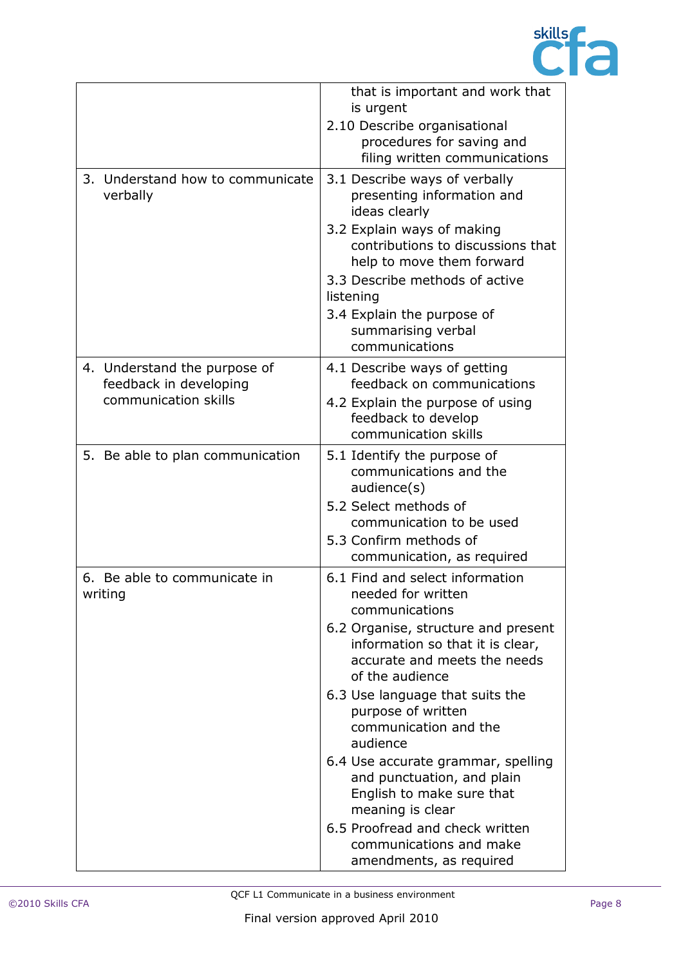

|                                                                                | that is important and work that<br>is urgent<br>2.10 Describe organisational<br>procedures for saving and<br>filing written communications                                                                                                                                                        |
|--------------------------------------------------------------------------------|---------------------------------------------------------------------------------------------------------------------------------------------------------------------------------------------------------------------------------------------------------------------------------------------------|
| 3. Understand how to communicate<br>verbally                                   | 3.1 Describe ways of verbally<br>presenting information and<br>ideas clearly<br>3.2 Explain ways of making<br>contributions to discussions that<br>help to move them forward<br>3.3 Describe methods of active<br>listening<br>3.4 Explain the purpose of<br>summarising verbal<br>communications |
| 4. Understand the purpose of<br>feedback in developing<br>communication skills | 4.1 Describe ways of getting<br>feedback on communications<br>4.2 Explain the purpose of using<br>feedback to develop<br>communication skills                                                                                                                                                     |
| 5. Be able to plan communication                                               | 5.1 Identify the purpose of<br>communications and the<br>audience(s)<br>5.2 Select methods of<br>communication to be used<br>5.3 Confirm methods of<br>communication, as required                                                                                                                 |
| 6. Be able to communicate in<br>writing                                        | 6.1 Find and select information<br>needed for written<br>communications<br>6.2 Organise, structure and present<br>information so that it is clear,<br>accurate and meets the needs<br>of the audience<br>6.3 Use language that suits the<br>purpose of written                                    |
|                                                                                | communication and the<br>audience<br>6.4 Use accurate grammar, spelling<br>and punctuation, and plain<br>English to make sure that<br>meaning is clear<br>6.5 Proofread and check written<br>communications and make<br>amendments, as required                                                   |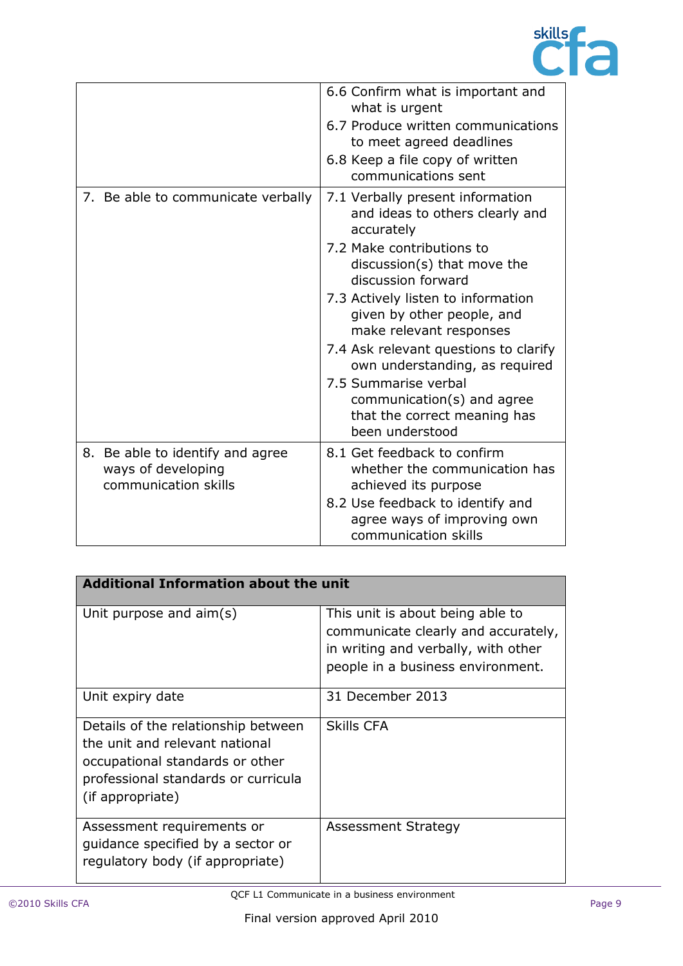

|                                                                                | 6.6 Confirm what is important and<br>what is urgent<br>6.7 Produce written communications<br>to meet agreed deadlines<br>6.8 Keep a file copy of written<br>communications sent                                                                                                                                                                                                                                                                        |
|--------------------------------------------------------------------------------|--------------------------------------------------------------------------------------------------------------------------------------------------------------------------------------------------------------------------------------------------------------------------------------------------------------------------------------------------------------------------------------------------------------------------------------------------------|
| 7. Be able to communicate verbally                                             | 7.1 Verbally present information<br>and ideas to others clearly and<br>accurately<br>7.2 Make contributions to<br>discussion(s) that move the<br>discussion forward<br>7.3 Actively listen to information<br>given by other people, and<br>make relevant responses<br>7.4 Ask relevant questions to clarify<br>own understanding, as required<br>7.5 Summarise verbal<br>communication(s) and agree<br>that the correct meaning has<br>been understood |
| 8. Be able to identify and agree<br>ways of developing<br>communication skills | 8.1 Get feedback to confirm<br>whether the communication has<br>achieved its purpose<br>8.2 Use feedback to identify and<br>agree ways of improving own<br>communication skills                                                                                                                                                                                                                                                                        |

| <b>Additional Information about the unit</b>                                                                                                                        |                                                                                                                                                     |  |
|---------------------------------------------------------------------------------------------------------------------------------------------------------------------|-----------------------------------------------------------------------------------------------------------------------------------------------------|--|
| Unit purpose and $\text{aim}(s)$                                                                                                                                    | This unit is about being able to<br>communicate clearly and accurately,<br>in writing and verbally, with other<br>people in a business environment. |  |
| Unit expiry date                                                                                                                                                    | 31 December 2013                                                                                                                                    |  |
| Details of the relationship between<br>the unit and relevant national<br>occupational standards or other<br>professional standards or curricula<br>(if appropriate) | <b>Skills CFA</b>                                                                                                                                   |  |
| Assessment requirements or<br>quidance specified by a sector or<br>regulatory body (if appropriate)                                                                 | <b>Assessment Strategy</b>                                                                                                                          |  |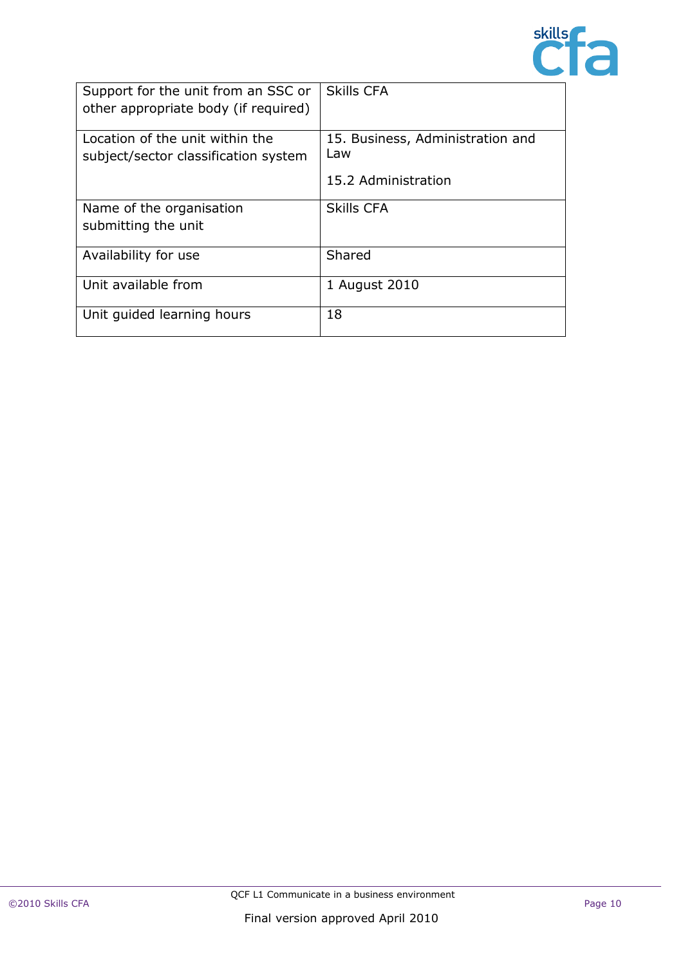

| Support for the unit from an SSC or<br>other appropriate body (if required) | <b>Skills CFA</b>                       |
|-----------------------------------------------------------------------------|-----------------------------------------|
| Location of the unit within the<br>subject/sector classification system     | 15. Business, Administration and<br>Law |
|                                                                             | 15.2 Administration                     |
| Name of the organisation<br>submitting the unit                             | <b>Skills CFA</b>                       |
| Availability for use                                                        | Shared                                  |
| Unit available from                                                         | 1 August 2010                           |
| Unit guided learning hours                                                  | 18                                      |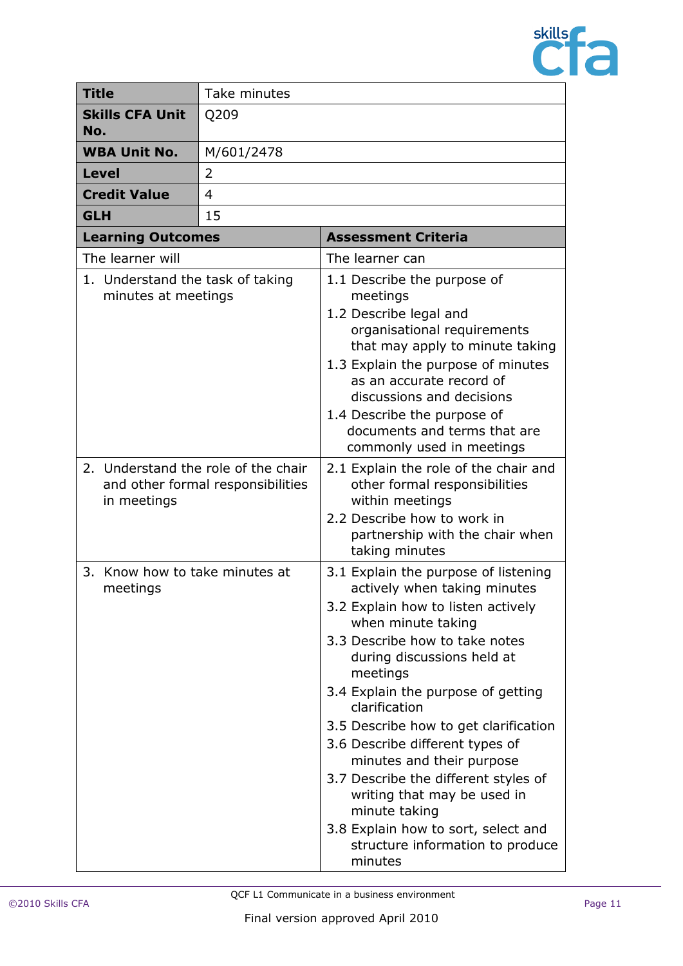

| <b>Title</b>                                            | Take minutes                      |                                                                                                                                                                                                                                                                                                                                                                                                                                                                                                                                                            |
|---------------------------------------------------------|-----------------------------------|------------------------------------------------------------------------------------------------------------------------------------------------------------------------------------------------------------------------------------------------------------------------------------------------------------------------------------------------------------------------------------------------------------------------------------------------------------------------------------------------------------------------------------------------------------|
| <b>Skills CFA Unit</b><br>No.                           | Q209                              |                                                                                                                                                                                                                                                                                                                                                                                                                                                                                                                                                            |
| <b>WBA Unit No.</b>                                     | M/601/2478                        |                                                                                                                                                                                                                                                                                                                                                                                                                                                                                                                                                            |
| <b>Level</b>                                            | 2                                 |                                                                                                                                                                                                                                                                                                                                                                                                                                                                                                                                                            |
| <b>Credit Value</b>                                     | 4                                 |                                                                                                                                                                                                                                                                                                                                                                                                                                                                                                                                                            |
| <b>GLH</b>                                              | 15                                |                                                                                                                                                                                                                                                                                                                                                                                                                                                                                                                                                            |
| <b>Learning Outcomes</b>                                |                                   | <b>Assessment Criteria</b>                                                                                                                                                                                                                                                                                                                                                                                                                                                                                                                                 |
| The learner will                                        |                                   | The learner can                                                                                                                                                                                                                                                                                                                                                                                                                                                                                                                                            |
| 1. Understand the task of taking<br>minutes at meetings |                                   | 1.1 Describe the purpose of<br>meetings<br>1.2 Describe legal and<br>organisational requirements<br>that may apply to minute taking<br>1.3 Explain the purpose of minutes<br>as an accurate record of<br>discussions and decisions<br>1.4 Describe the purpose of<br>documents and terms that are<br>commonly used in meetings                                                                                                                                                                                                                             |
| 2. Understand the role of the chair<br>in meetings      | and other formal responsibilities | 2.1 Explain the role of the chair and<br>other formal responsibilities<br>within meetings<br>2.2 Describe how to work in<br>partnership with the chair when<br>taking minutes                                                                                                                                                                                                                                                                                                                                                                              |
| 3. Know how to take minutes at<br>meetings              |                                   | 3.1 Explain the purpose of listening<br>actively when taking minutes<br>3.2 Explain how to listen actively<br>when minute taking<br>3.3 Describe how to take notes<br>during discussions held at<br>meetings<br>3.4 Explain the purpose of getting<br>clarification<br>3.5 Describe how to get clarification<br>3.6 Describe different types of<br>minutes and their purpose<br>3.7 Describe the different styles of<br>writing that may be used in<br>minute taking<br>3.8 Explain how to sort, select and<br>structure information to produce<br>minutes |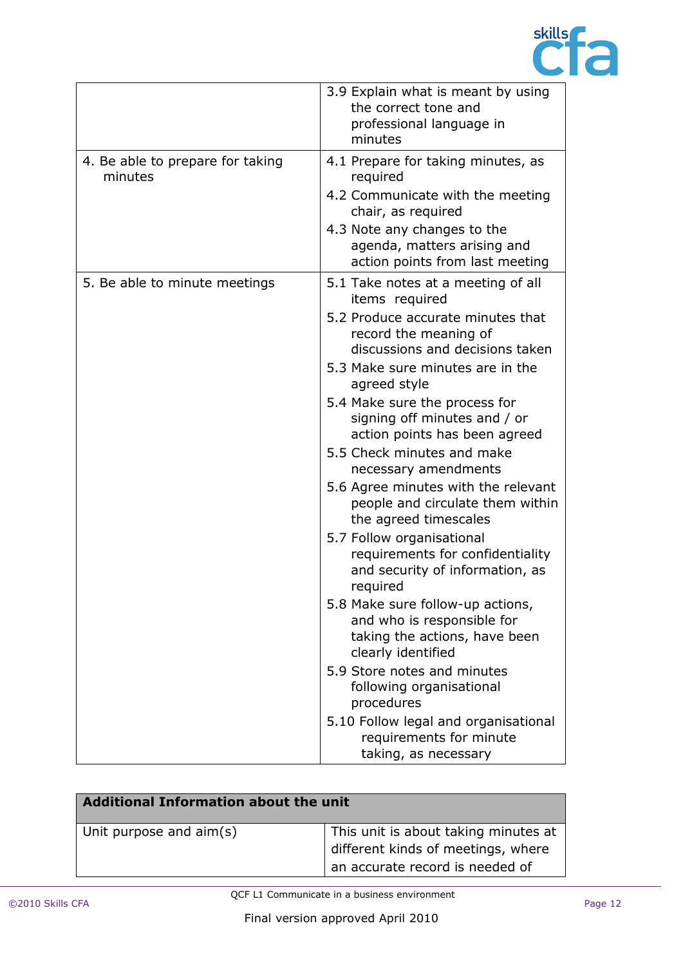

|                                             | 3.9 Explain what is meant by using<br>the correct tone and<br>professional language in<br>minutes                     |
|---------------------------------------------|-----------------------------------------------------------------------------------------------------------------------|
| 4. Be able to prepare for taking<br>minutes | 4.1 Prepare for taking minutes, as<br>required<br>4.2 Communicate with the meeting                                    |
|                                             | chair, as required                                                                                                    |
|                                             | 4.3 Note any changes to the<br>agenda, matters arising and<br>action points from last meeting                         |
| 5. Be able to minute meetings               | 5.1 Take notes at a meeting of all<br>items required                                                                  |
|                                             | 5.2 Produce accurate minutes that<br>record the meaning of<br>discussions and decisions taken                         |
|                                             | 5.3 Make sure minutes are in the<br>agreed style                                                                      |
|                                             | 5.4 Make sure the process for<br>signing off minutes and / or<br>action points has been agreed                        |
|                                             | 5.5 Check minutes and make<br>necessary amendments                                                                    |
|                                             | 5.6 Agree minutes with the relevant<br>people and circulate them within<br>the agreed timescales                      |
|                                             | 5.7 Follow organisational<br>requirements for confidentiality<br>and security of information, as<br>required          |
|                                             | 5.8 Make sure follow-up actions,<br>and who is responsible for<br>taking the actions, have been<br>clearly identified |
|                                             | 5.9 Store notes and minutes<br>following organisational<br>procedures                                                 |
|                                             | 5.10 Follow legal and organisational<br>requirements for minute<br>taking, as necessary                               |

| <b>Additional Information about the unit</b> |                                                                                                               |
|----------------------------------------------|---------------------------------------------------------------------------------------------------------------|
| Unit purpose and aim(s)                      | This unit is about taking minutes at<br>different kinds of meetings, where<br>an accurate record is needed of |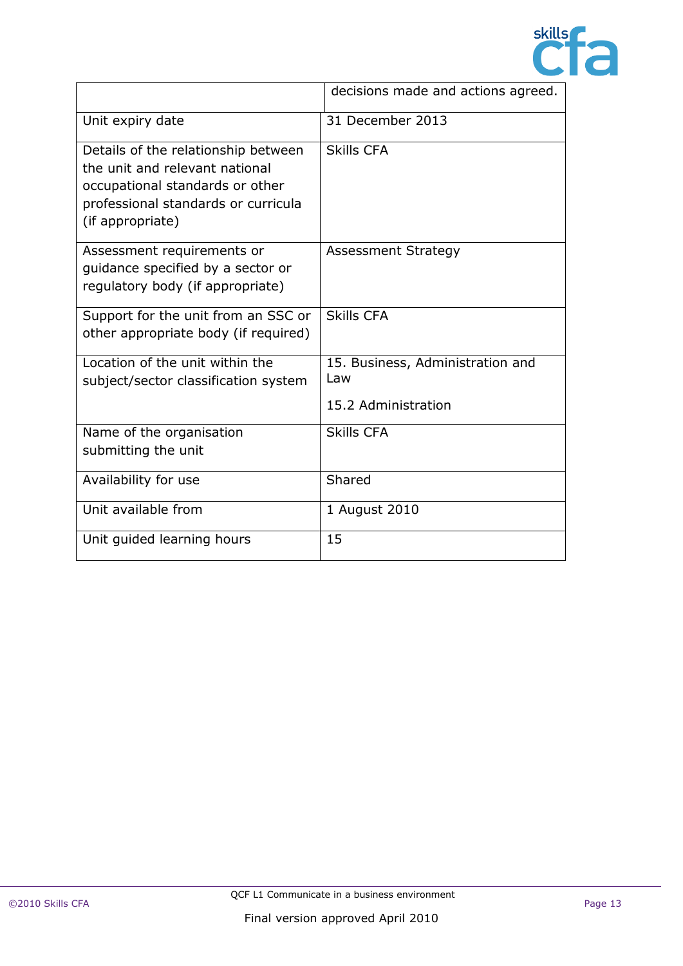

|                                                                                                                                                                     | decisions made and actions agreed.                             |
|---------------------------------------------------------------------------------------------------------------------------------------------------------------------|----------------------------------------------------------------|
| Unit expiry date                                                                                                                                                    | 31 December 2013                                               |
| Details of the relationship between<br>the unit and relevant national<br>occupational standards or other<br>professional standards or curricula<br>(if appropriate) | <b>Skills CFA</b>                                              |
| Assessment requirements or<br>guidance specified by a sector or<br>regulatory body (if appropriate)                                                                 | <b>Assessment Strategy</b>                                     |
| Support for the unit from an SSC or<br>other appropriate body (if required)                                                                                         | <b>Skills CFA</b>                                              |
| Location of the unit within the<br>subject/sector classification system                                                                                             | 15. Business, Administration and<br>Law<br>15.2 Administration |
| Name of the organisation<br>submitting the unit                                                                                                                     | <b>Skills CFA</b>                                              |
| Availability for use                                                                                                                                                | Shared                                                         |
| Unit available from                                                                                                                                                 | 1 August 2010                                                  |
| Unit guided learning hours                                                                                                                                          | 15                                                             |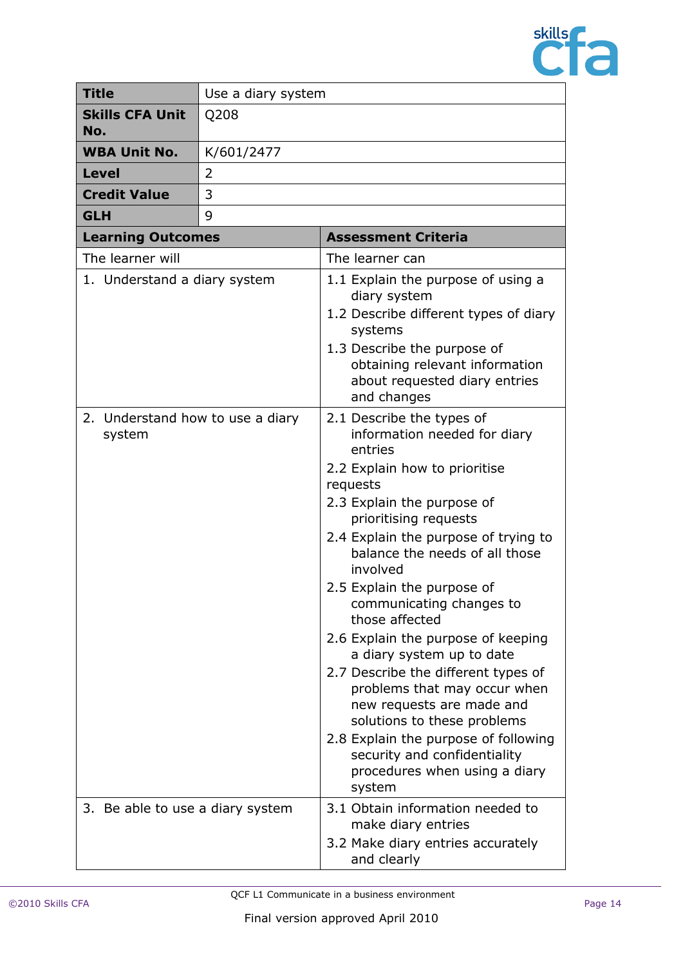

| <b>Title</b>                     | Use a diary system            |                                                                                                                                                                                                                                                                                                                                                                                                                                                                                                                                                                                                                                                                     |
|----------------------------------|-------------------------------|---------------------------------------------------------------------------------------------------------------------------------------------------------------------------------------------------------------------------------------------------------------------------------------------------------------------------------------------------------------------------------------------------------------------------------------------------------------------------------------------------------------------------------------------------------------------------------------------------------------------------------------------------------------------|
| <b>Skills CFA Unit</b><br>No.    | Q208                          |                                                                                                                                                                                                                                                                                                                                                                                                                                                                                                                                                                                                                                                                     |
| <b>WBA Unit No.</b>              | K/601/2477                    |                                                                                                                                                                                                                                                                                                                                                                                                                                                                                                                                                                                                                                                                     |
| <b>Level</b>                     | 2                             |                                                                                                                                                                                                                                                                                                                                                                                                                                                                                                                                                                                                                                                                     |
| <b>Credit Value</b>              | 3                             |                                                                                                                                                                                                                                                                                                                                                                                                                                                                                                                                                                                                                                                                     |
| <b>GLH</b>                       | 9                             |                                                                                                                                                                                                                                                                                                                                                                                                                                                                                                                                                                                                                                                                     |
| <b>Learning Outcomes</b>         |                               | <b>Assessment Criteria</b>                                                                                                                                                                                                                                                                                                                                                                                                                                                                                                                                                                                                                                          |
| The learner will                 |                               | The learner can                                                                                                                                                                                                                                                                                                                                                                                                                                                                                                                                                                                                                                                     |
| 1. Understand a diary system     |                               | 1.1 Explain the purpose of using a<br>diary system<br>1.2 Describe different types of diary                                                                                                                                                                                                                                                                                                                                                                                                                                                                                                                                                                         |
|                                  |                               | systems<br>1.3 Describe the purpose of<br>obtaining relevant information<br>about requested diary entries<br>and changes                                                                                                                                                                                                                                                                                                                                                                                                                                                                                                                                            |
| 2.<br>system                     | Understand how to use a diary | 2.1 Describe the types of<br>information needed for diary<br>entries<br>2.2 Explain how to prioritise<br>requests<br>2.3 Explain the purpose of<br>prioritising requests<br>2.4 Explain the purpose of trying to<br>balance the needs of all those<br>involved<br>2.5 Explain the purpose of<br>communicating changes to<br>those affected<br>2.6 Explain the purpose of keeping<br>a diary system up to date<br>2.7 Describe the different types of<br>problems that may occur when<br>new requests are made and<br>solutions to these problems<br>2.8 Explain the purpose of following<br>security and confidentiality<br>procedures when using a diary<br>system |
| 3. Be able to use a diary system |                               | 3.1 Obtain information needed to<br>make diary entries<br>3.2 Make diary entries accurately<br>and clearly                                                                                                                                                                                                                                                                                                                                                                                                                                                                                                                                                          |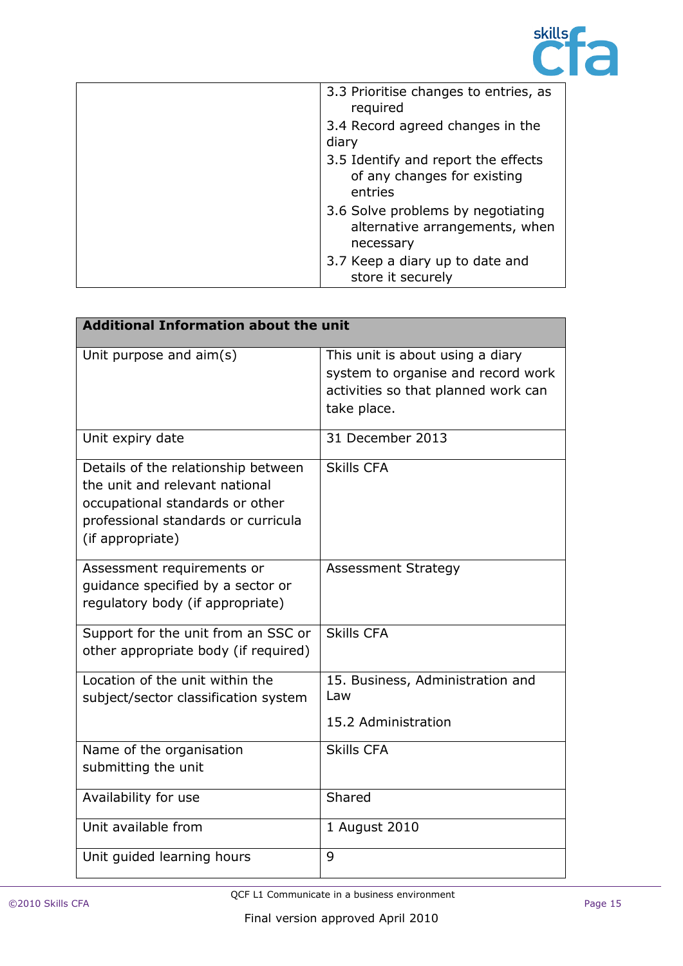

| 3.3 Prioritise changes to entries, as<br>required                                |
|----------------------------------------------------------------------------------|
| 3.4 Record agreed changes in the<br>diary                                        |
| 3.5 Identify and report the effects<br>of any changes for existing<br>entries    |
| 3.6 Solve problems by negotiating<br>alternative arrangements, when<br>necessary |
| 3.7 Keep a diary up to date and<br>store it securely                             |

| <b>Additional Information about the unit</b>                                                                                                                        |                                                                                                                              |  |
|---------------------------------------------------------------------------------------------------------------------------------------------------------------------|------------------------------------------------------------------------------------------------------------------------------|--|
| Unit purpose and $\text{aim}(s)$                                                                                                                                    | This unit is about using a diary<br>system to organise and record work<br>activities so that planned work can<br>take place. |  |
| Unit expiry date                                                                                                                                                    | 31 December 2013                                                                                                             |  |
| Details of the relationship between<br>the unit and relevant national<br>occupational standards or other<br>professional standards or curricula<br>(if appropriate) | Skills CFA                                                                                                                   |  |
| Assessment requirements or<br>guidance specified by a sector or<br>regulatory body (if appropriate)                                                                 | <b>Assessment Strategy</b>                                                                                                   |  |
| Support for the unit from an SSC or<br>other appropriate body (if required)                                                                                         | Skills CFA                                                                                                                   |  |
| Location of the unit within the<br>subject/sector classification system                                                                                             | 15. Business, Administration and<br>Law<br>15.2 Administration                                                               |  |
| Name of the organisation<br>submitting the unit                                                                                                                     | <b>Skills CFA</b>                                                                                                            |  |
| Availability for use                                                                                                                                                | Shared                                                                                                                       |  |
| Unit available from                                                                                                                                                 | 1 August 2010                                                                                                                |  |
| Unit guided learning hours                                                                                                                                          | 9                                                                                                                            |  |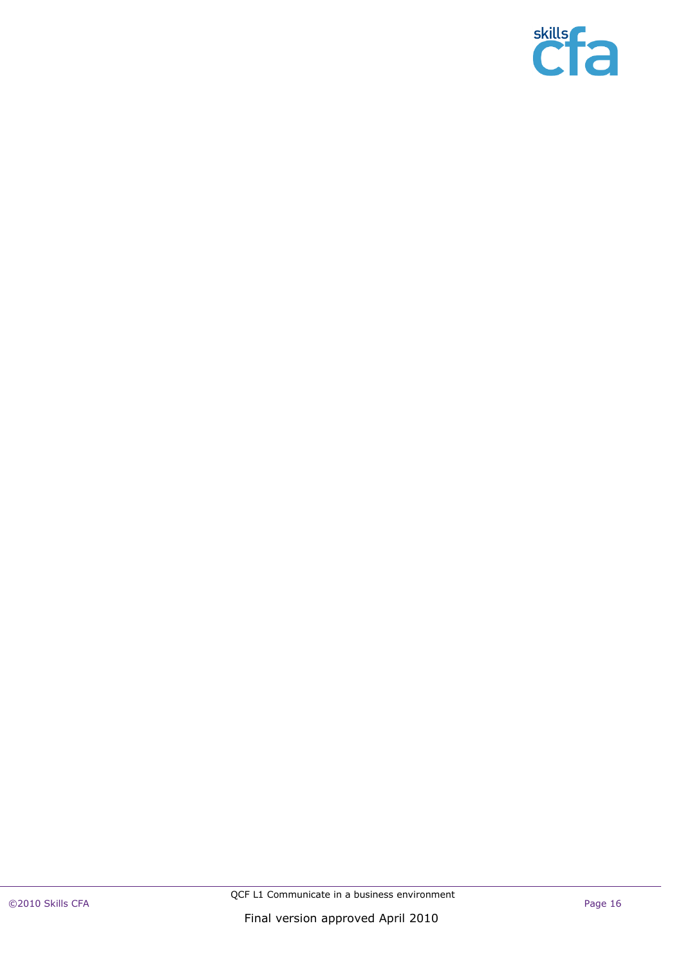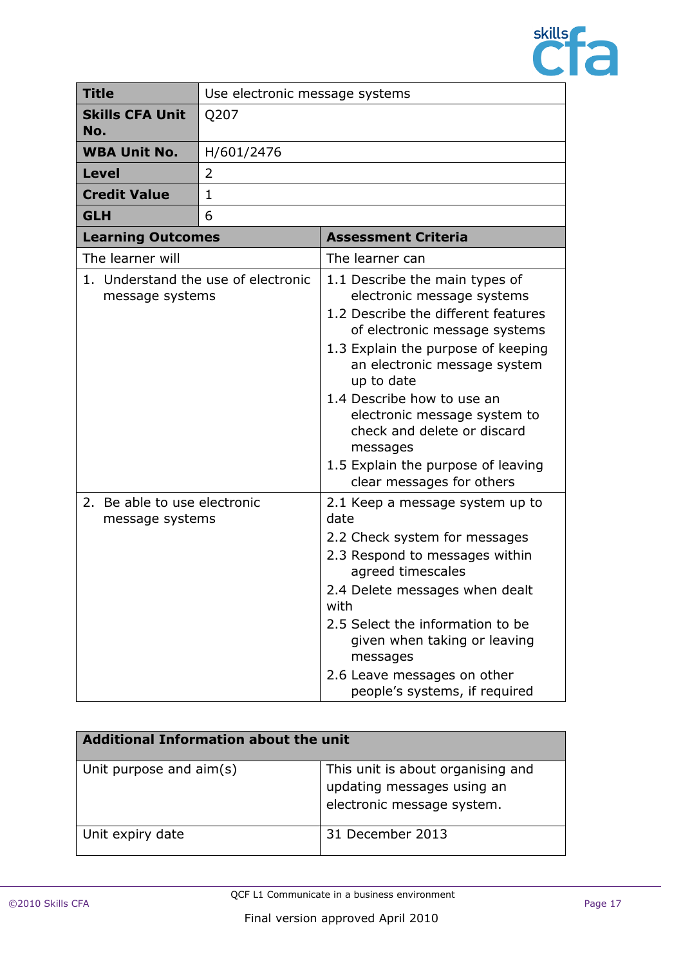

| <b>Title</b>                                           | Use electronic message systems |                                                                                                                                                                                                                                                                                                                                                                                                      |
|--------------------------------------------------------|--------------------------------|------------------------------------------------------------------------------------------------------------------------------------------------------------------------------------------------------------------------------------------------------------------------------------------------------------------------------------------------------------------------------------------------------|
| <b>Skills CFA Unit</b><br>No.                          | Q207                           |                                                                                                                                                                                                                                                                                                                                                                                                      |
| <b>WBA Unit No.</b>                                    | H/601/2476                     |                                                                                                                                                                                                                                                                                                                                                                                                      |
| <b>Level</b>                                           | 2                              |                                                                                                                                                                                                                                                                                                                                                                                                      |
| <b>Credit Value</b>                                    | $\mathbf{1}$                   |                                                                                                                                                                                                                                                                                                                                                                                                      |
| <b>GLH</b>                                             | 6                              |                                                                                                                                                                                                                                                                                                                                                                                                      |
| <b>Learning Outcomes</b>                               |                                | <b>Assessment Criteria</b>                                                                                                                                                                                                                                                                                                                                                                           |
| The learner will                                       |                                | The learner can                                                                                                                                                                                                                                                                                                                                                                                      |
| 1. Understand the use of electronic<br>message systems |                                | 1.1 Describe the main types of<br>electronic message systems<br>1.2 Describe the different features<br>of electronic message systems<br>1.3 Explain the purpose of keeping<br>an electronic message system<br>up to date<br>1.4 Describe how to use an<br>electronic message system to<br>check and delete or discard<br>messages<br>1.5 Explain the purpose of leaving<br>clear messages for others |
| 2. Be able to use electronic<br>message systems        |                                | 2.1 Keep a message system up to<br>date<br>2.2 Check system for messages<br>2.3 Respond to messages within<br>agreed timescales<br>2.4 Delete messages when dealt<br>with<br>2.5 Select the information to be<br>given when taking or leaving<br>messages<br>2.6 Leave messages on other<br>people's systems, if required                                                                            |

| Additional Information about the unit |                                                                                               |
|---------------------------------------|-----------------------------------------------------------------------------------------------|
| Unit purpose and aim(s)               | This unit is about organising and<br>updating messages using an<br>electronic message system. |
| Unit expiry date                      | 31 December 2013                                                                              |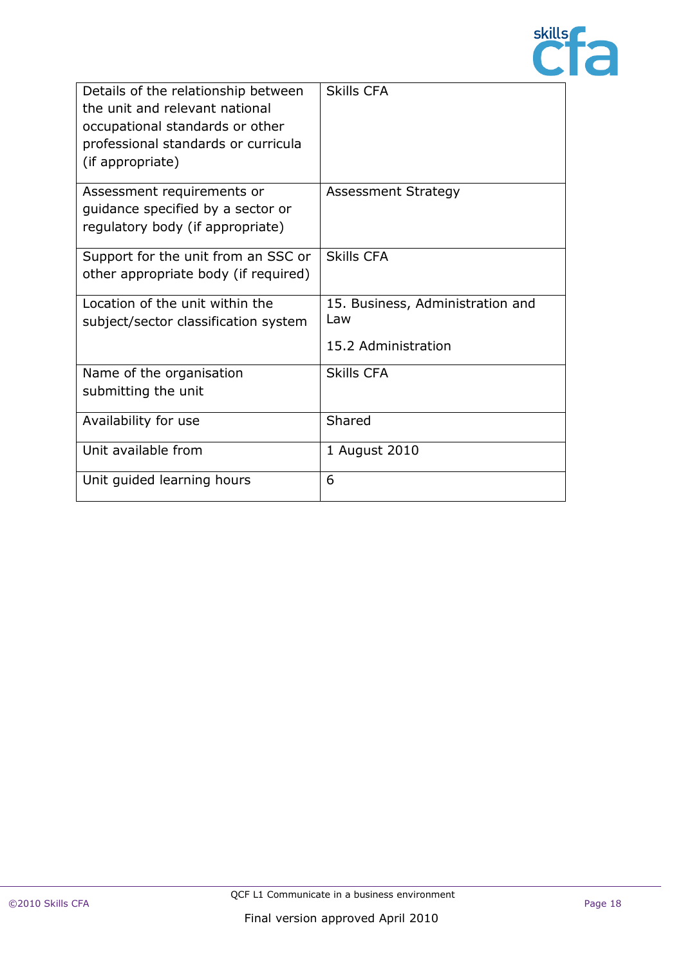

| Details of the relationship between<br>the unit and relevant national<br>occupational standards or other<br>professional standards or curricula<br>(if appropriate) | <b>Skills CFA</b>                                              |
|---------------------------------------------------------------------------------------------------------------------------------------------------------------------|----------------------------------------------------------------|
| Assessment requirements or<br>guidance specified by a sector or<br>regulatory body (if appropriate)                                                                 | Assessment Strategy                                            |
| Support for the unit from an SSC or<br>other appropriate body (if required)                                                                                         | <b>Skills CFA</b>                                              |
| Location of the unit within the<br>subject/sector classification system                                                                                             | 15. Business, Administration and<br>Law<br>15.2 Administration |
| Name of the organisation<br>submitting the unit                                                                                                                     | <b>Skills CFA</b>                                              |
| Availability for use                                                                                                                                                | Shared                                                         |
| Unit available from                                                                                                                                                 | 1 August 2010                                                  |
| Unit guided learning hours                                                                                                                                          | 6                                                              |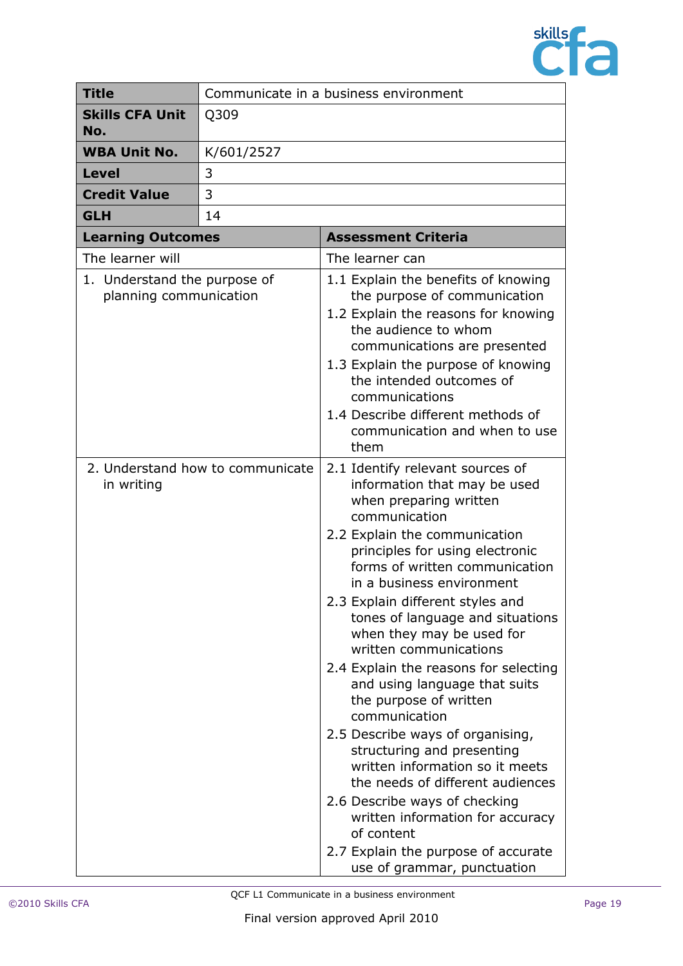

| <b>Title</b>                                           |                                  | Communicate in a business environment                                                                                                                                                                                                                                                                                                                                                                                                                                                                                                                                                                                                                                                                                                                            |
|--------------------------------------------------------|----------------------------------|------------------------------------------------------------------------------------------------------------------------------------------------------------------------------------------------------------------------------------------------------------------------------------------------------------------------------------------------------------------------------------------------------------------------------------------------------------------------------------------------------------------------------------------------------------------------------------------------------------------------------------------------------------------------------------------------------------------------------------------------------------------|
| <b>Skills CFA Unit</b><br>No.                          | Q309                             |                                                                                                                                                                                                                                                                                                                                                                                                                                                                                                                                                                                                                                                                                                                                                                  |
| <b>WBA Unit No.</b>                                    | K/601/2527                       |                                                                                                                                                                                                                                                                                                                                                                                                                                                                                                                                                                                                                                                                                                                                                                  |
| <b>Level</b>                                           | 3                                |                                                                                                                                                                                                                                                                                                                                                                                                                                                                                                                                                                                                                                                                                                                                                                  |
| <b>Credit Value</b>                                    | 3                                |                                                                                                                                                                                                                                                                                                                                                                                                                                                                                                                                                                                                                                                                                                                                                                  |
| <b>GLH</b>                                             | 14                               |                                                                                                                                                                                                                                                                                                                                                                                                                                                                                                                                                                                                                                                                                                                                                                  |
| <b>Learning Outcomes</b>                               |                                  | <b>Assessment Criteria</b>                                                                                                                                                                                                                                                                                                                                                                                                                                                                                                                                                                                                                                                                                                                                       |
| The learner will                                       |                                  | The learner can                                                                                                                                                                                                                                                                                                                                                                                                                                                                                                                                                                                                                                                                                                                                                  |
| 1. Understand the purpose of<br>planning communication | 2. Understand how to communicate | 1.1 Explain the benefits of knowing<br>the purpose of communication<br>1.2 Explain the reasons for knowing<br>the audience to whom<br>communications are presented<br>1.3 Explain the purpose of knowing<br>the intended outcomes of<br>communications<br>1.4 Describe different methods of<br>communication and when to use<br>them<br>2.1 Identify relevant sources of                                                                                                                                                                                                                                                                                                                                                                                         |
| in writing                                             |                                  | information that may be used<br>when preparing written<br>communication<br>2.2 Explain the communication<br>principles for using electronic<br>forms of written communication<br>in a business environment<br>2.3 Explain different styles and<br>tones of language and situations<br>when they may be used for<br>written communications<br>2.4 Explain the reasons for selecting<br>and using language that suits<br>the purpose of written<br>communication<br>2.5 Describe ways of organising,<br>structuring and presenting<br>written information so it meets<br>the needs of different audiences<br>2.6 Describe ways of checking<br>written information for accuracy<br>of content<br>2.7 Explain the purpose of accurate<br>use of grammar, punctuation |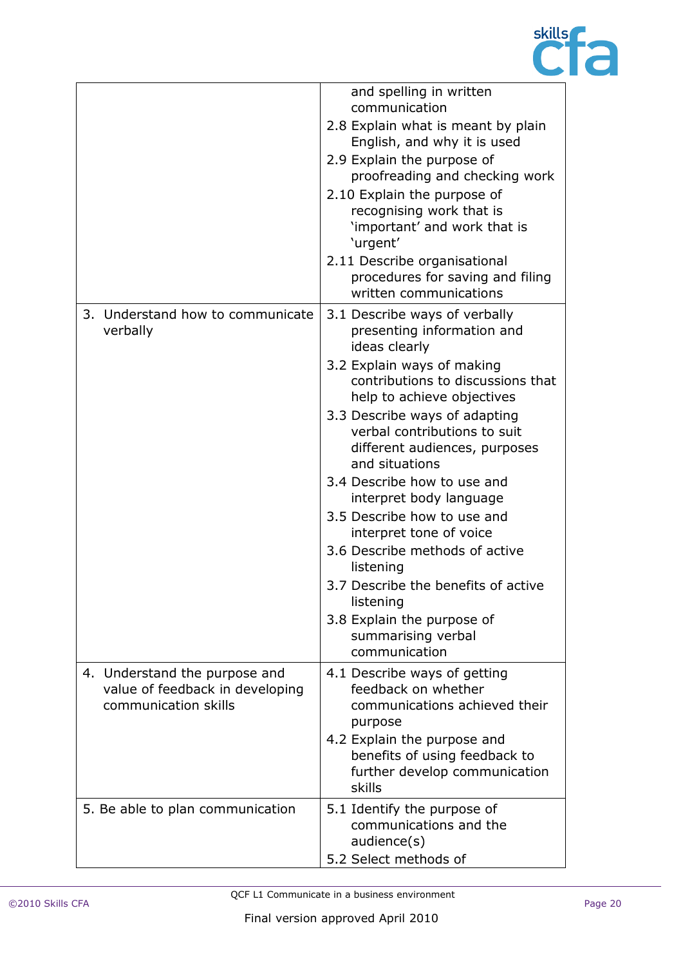

|                                                                                          | and spelling in written<br>communication<br>2.8 Explain what is meant by plain<br>English, and why it is used<br>2.9 Explain the purpose of<br>proofreading and checking work<br>2.10 Explain the purpose of<br>recognising work that is<br>'important' and work that is<br>'urgent'<br>2.11 Describe organisational<br>procedures for saving and filing<br>written communications                                                                                                                                                                                                            |
|------------------------------------------------------------------------------------------|-----------------------------------------------------------------------------------------------------------------------------------------------------------------------------------------------------------------------------------------------------------------------------------------------------------------------------------------------------------------------------------------------------------------------------------------------------------------------------------------------------------------------------------------------------------------------------------------------|
| 3. Understand how to communicate<br>verbally                                             | 3.1 Describe ways of verbally<br>presenting information and<br>ideas clearly<br>3.2 Explain ways of making<br>contributions to discussions that<br>help to achieve objectives<br>3.3 Describe ways of adapting<br>verbal contributions to suit<br>different audiences, purposes<br>and situations<br>3.4 Describe how to use and<br>interpret body language<br>3.5 Describe how to use and<br>interpret tone of voice<br>3.6 Describe methods of active<br>listening<br>3.7 Describe the benefits of active<br>listening<br>3.8 Explain the purpose of<br>summarising verbal<br>communication |
| 4. Understand the purpose and<br>value of feedback in developing<br>communication skills | 4.1 Describe ways of getting<br>feedback on whether<br>communications achieved their<br>purpose<br>4.2 Explain the purpose and<br>benefits of using feedback to<br>further develop communication<br>skills                                                                                                                                                                                                                                                                                                                                                                                    |
| 5. Be able to plan communication                                                         | 5.1 Identify the purpose of<br>communications and the<br>audience(s)<br>5.2 Select methods of                                                                                                                                                                                                                                                                                                                                                                                                                                                                                                 |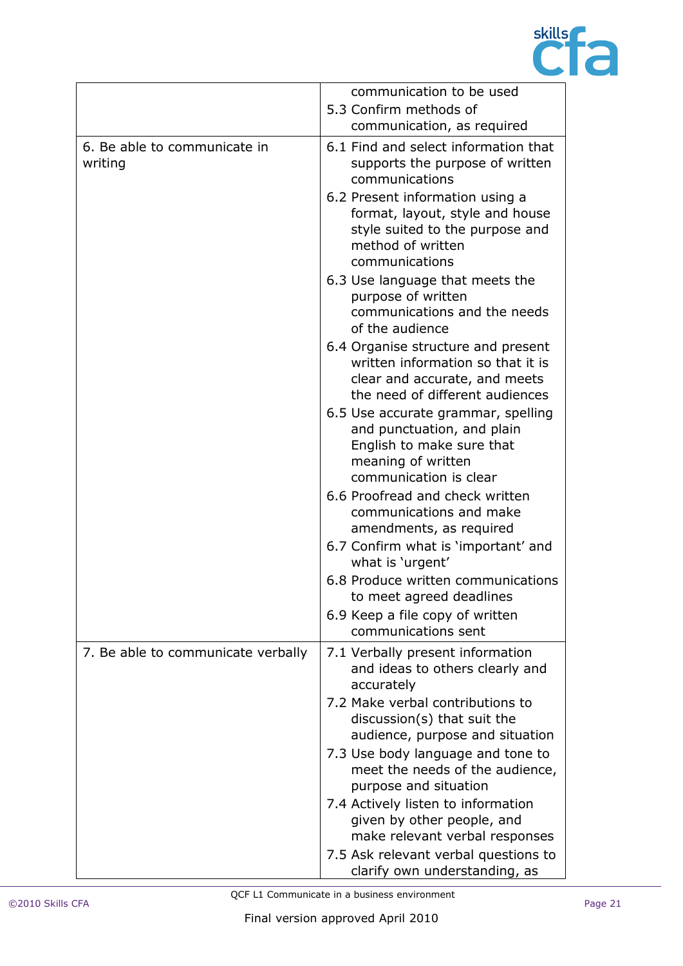

|                                         | communication to be used                                                                                                                      |
|-----------------------------------------|-----------------------------------------------------------------------------------------------------------------------------------------------|
|                                         | 5.3 Confirm methods of                                                                                                                        |
|                                         | communication, as required                                                                                                                    |
| 6. Be able to communicate in<br>writing | 6.1 Find and select information that<br>supports the purpose of written<br>communications                                                     |
|                                         | 6.2 Present information using a<br>format, layout, style and house<br>style suited to the purpose and<br>method of written<br>communications  |
|                                         | 6.3 Use language that meets the<br>purpose of written<br>communications and the needs<br>of the audience                                      |
|                                         | 6.4 Organise structure and present<br>written information so that it is<br>clear and accurate, and meets<br>the need of different audiences   |
|                                         | 6.5 Use accurate grammar, spelling<br>and punctuation, and plain<br>English to make sure that<br>meaning of written<br>communication is clear |
|                                         | 6.6 Proofread and check written<br>communications and make<br>amendments, as required                                                         |
|                                         | 6.7 Confirm what is 'important' and<br>what is 'urgent'                                                                                       |
|                                         | 6.8 Produce written communications<br>to meet agreed deadlines                                                                                |
|                                         | 6.9 Keep a file copy of written<br>communications sent                                                                                        |
| 7. Be able to communicate verbally      | 7.1 Verbally present information<br>and ideas to others clearly and<br>accurately                                                             |
|                                         | 7.2 Make verbal contributions to<br>discussion(s) that suit the<br>audience, purpose and situation                                            |
|                                         | 7.3 Use body language and tone to<br>meet the needs of the audience,<br>purpose and situation                                                 |
|                                         | 7.4 Actively listen to information<br>given by other people, and<br>make relevant verbal responses                                            |
|                                         | 7.5 Ask relevant verbal questions to<br>clarify own understanding, as                                                                         |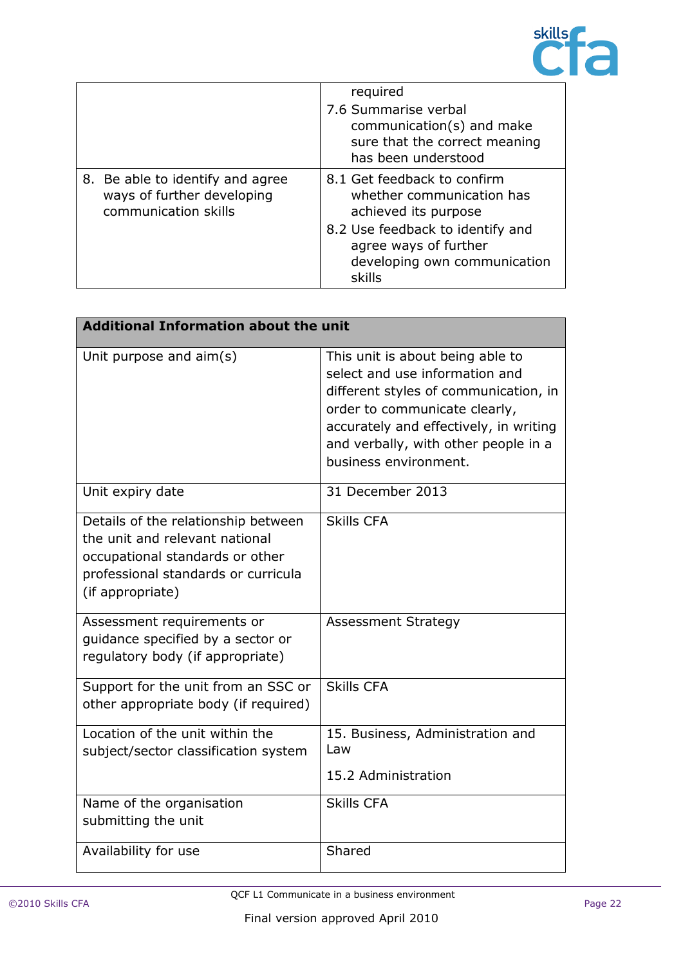

|                                                                                        | required<br>7.6 Summarise verbal<br>communication(s) and make<br>sure that the correct meaning<br>has been understood                                                                   |
|----------------------------------------------------------------------------------------|-----------------------------------------------------------------------------------------------------------------------------------------------------------------------------------------|
| 8. Be able to identify and agree<br>ways of further developing<br>communication skills | 8.1 Get feedback to confirm<br>whether communication has<br>achieved its purpose<br>8.2 Use feedback to identify and<br>agree ways of further<br>developing own communication<br>skills |

| <b>Additional Information about the unit</b>                                                                                                                        |                                                                                                                                                                                                                                                         |
|---------------------------------------------------------------------------------------------------------------------------------------------------------------------|---------------------------------------------------------------------------------------------------------------------------------------------------------------------------------------------------------------------------------------------------------|
| Unit purpose and $\text{aim}(s)$                                                                                                                                    | This unit is about being able to<br>select and use information and<br>different styles of communication, in<br>order to communicate clearly,<br>accurately and effectively, in writing<br>and verbally, with other people in a<br>business environment. |
| Unit expiry date                                                                                                                                                    | 31 December 2013                                                                                                                                                                                                                                        |
| Details of the relationship between<br>the unit and relevant national<br>occupational standards or other<br>professional standards or curricula<br>(if appropriate) | <b>Skills CFA</b>                                                                                                                                                                                                                                       |
| Assessment requirements or<br>quidance specified by a sector or<br>regulatory body (if appropriate)                                                                 | <b>Assessment Strategy</b>                                                                                                                                                                                                                              |
| Support for the unit from an SSC or<br>other appropriate body (if required)                                                                                         | <b>Skills CFA</b>                                                                                                                                                                                                                                       |
| Location of the unit within the<br>subject/sector classification system                                                                                             | 15. Business, Administration and<br>Law<br>15.2 Administration                                                                                                                                                                                          |
| Name of the organisation<br>submitting the unit                                                                                                                     | <b>Skills CFA</b>                                                                                                                                                                                                                                       |
| Availability for use                                                                                                                                                | Shared                                                                                                                                                                                                                                                  |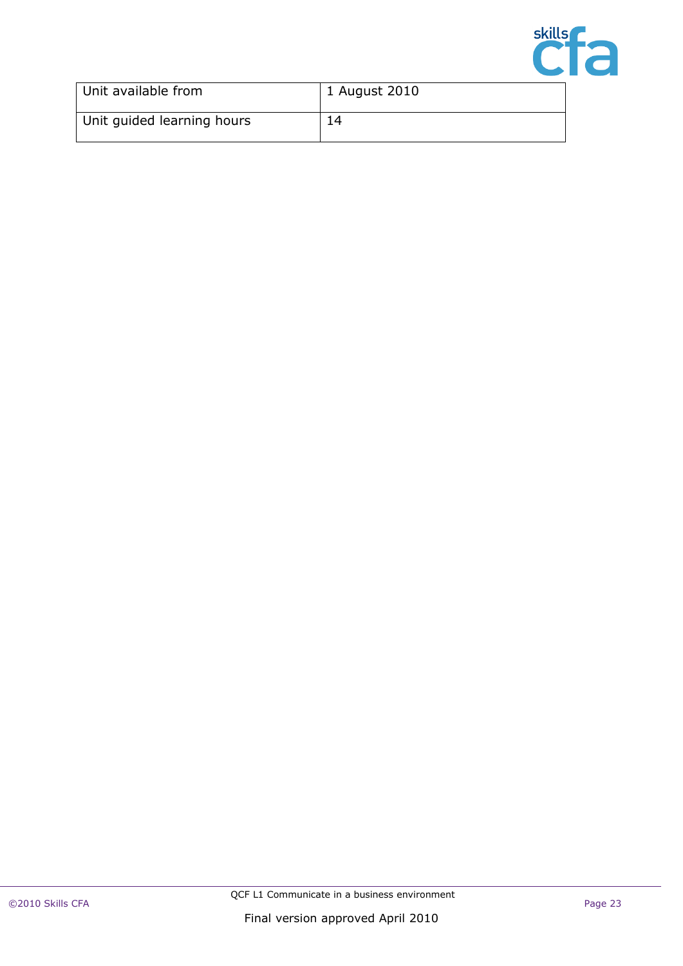

| Unit available from        | 1 August 2010 |
|----------------------------|---------------|
| Unit guided learning hours | 14            |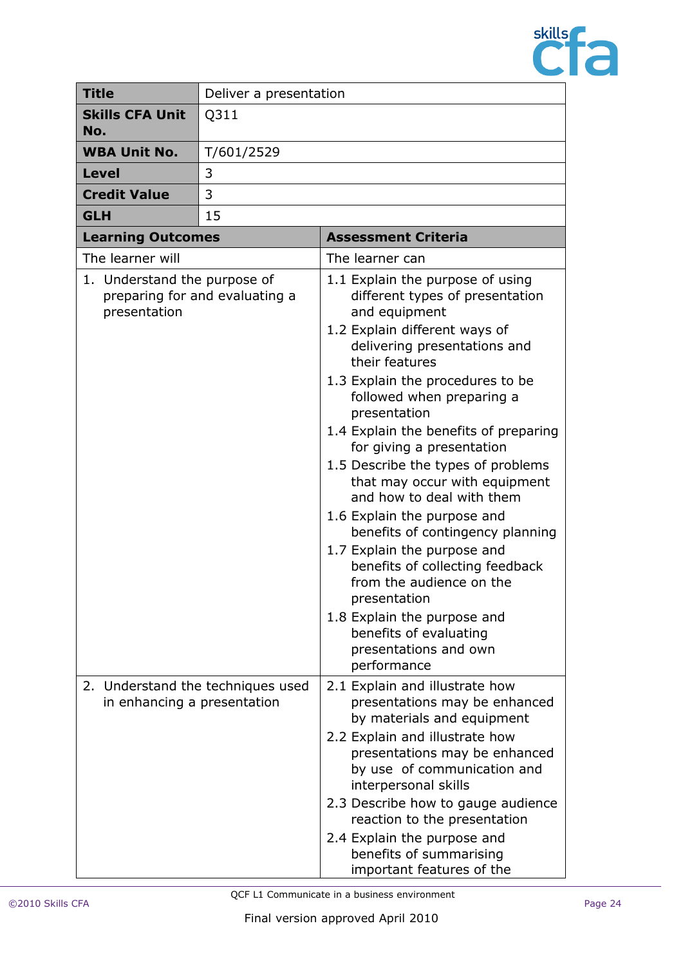

| <b>Title</b>                                                     | Deliver a presentation         |                                                                                                                                                                                                                                                                                                                                                                                                                                                                                                                                                                                                                                                                                                                      |
|------------------------------------------------------------------|--------------------------------|----------------------------------------------------------------------------------------------------------------------------------------------------------------------------------------------------------------------------------------------------------------------------------------------------------------------------------------------------------------------------------------------------------------------------------------------------------------------------------------------------------------------------------------------------------------------------------------------------------------------------------------------------------------------------------------------------------------------|
| <b>Skills CFA Unit</b><br>No.                                    | Q311                           |                                                                                                                                                                                                                                                                                                                                                                                                                                                                                                                                                                                                                                                                                                                      |
| <b>WBA Unit No.</b>                                              | T/601/2529                     |                                                                                                                                                                                                                                                                                                                                                                                                                                                                                                                                                                                                                                                                                                                      |
| <b>Level</b>                                                     | 3                              |                                                                                                                                                                                                                                                                                                                                                                                                                                                                                                                                                                                                                                                                                                                      |
| <b>Credit Value</b>                                              | 3                              |                                                                                                                                                                                                                                                                                                                                                                                                                                                                                                                                                                                                                                                                                                                      |
| <b>GLH</b>                                                       | 15                             |                                                                                                                                                                                                                                                                                                                                                                                                                                                                                                                                                                                                                                                                                                                      |
| <b>Learning Outcomes</b>                                         |                                | <b>Assessment Criteria</b>                                                                                                                                                                                                                                                                                                                                                                                                                                                                                                                                                                                                                                                                                           |
| The learner will                                                 |                                | The learner can                                                                                                                                                                                                                                                                                                                                                                                                                                                                                                                                                                                                                                                                                                      |
| 1. Understand the purpose of<br>presentation                     | preparing for and evaluating a | 1.1 Explain the purpose of using<br>different types of presentation<br>and equipment<br>1.2 Explain different ways of<br>delivering presentations and<br>their features<br>1.3 Explain the procedures to be<br>followed when preparing a<br>presentation<br>1.4 Explain the benefits of preparing<br>for giving a presentation<br>1.5 Describe the types of problems<br>that may occur with equipment<br>and how to deal with them<br>1.6 Explain the purpose and<br>benefits of contingency planning<br>1.7 Explain the purpose and<br>benefits of collecting feedback<br>from the audience on the<br>presentation<br>1.8 Explain the purpose and<br>benefits of evaluating<br>presentations and own<br>performance |
| 2. Understand the techniques used<br>in enhancing a presentation |                                | 2.1 Explain and illustrate how<br>presentations may be enhanced<br>by materials and equipment<br>2.2 Explain and illustrate how<br>presentations may be enhanced<br>by use of communication and<br>interpersonal skills                                                                                                                                                                                                                                                                                                                                                                                                                                                                                              |
|                                                                  |                                | 2.3 Describe how to gauge audience<br>reaction to the presentation<br>2.4 Explain the purpose and<br>benefits of summarising<br>important features of the                                                                                                                                                                                                                                                                                                                                                                                                                                                                                                                                                            |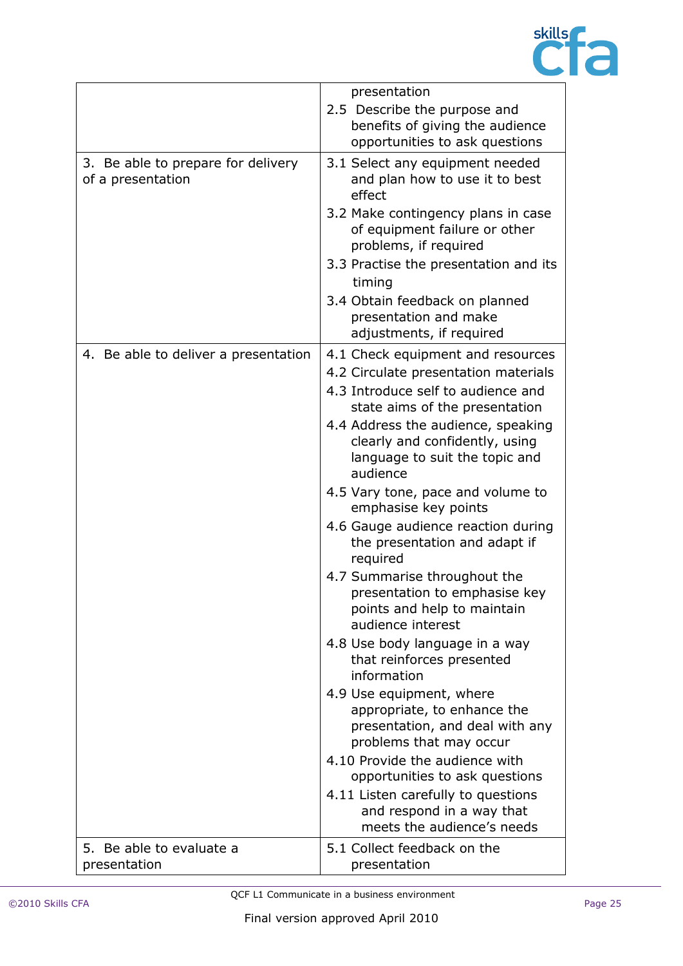

|                                                         | presentation                                                                                                          |
|---------------------------------------------------------|-----------------------------------------------------------------------------------------------------------------------|
|                                                         | 2.5 Describe the purpose and<br>benefits of giving the audience<br>opportunities to ask questions                     |
| 3. Be able to prepare for delivery<br>of a presentation | 3.1 Select any equipment needed<br>and plan how to use it to best<br>effect                                           |
|                                                         | 3.2 Make contingency plans in case<br>of equipment failure or other<br>problems, if required                          |
|                                                         | 3.3 Practise the presentation and its<br>timing                                                                       |
|                                                         | 3.4 Obtain feedback on planned<br>presentation and make<br>adjustments, if required                                   |
| 4. Be able to deliver a presentation                    | 4.1 Check equipment and resources                                                                                     |
|                                                         | 4.2 Circulate presentation materials                                                                                  |
|                                                         | 4.3 Introduce self to audience and<br>state aims of the presentation                                                  |
|                                                         | 4.4 Address the audience, speaking<br>clearly and confidently, using<br>language to suit the topic and<br>audience    |
|                                                         | 4.5 Vary tone, pace and volume to<br>emphasise key points                                                             |
|                                                         | 4.6 Gauge audience reaction during<br>the presentation and adapt if<br>required                                       |
|                                                         | 4.7 Summarise throughout the<br>presentation to emphasise key<br>points and help to maintain<br>audience interest     |
|                                                         | 4.8 Use body language in a way<br>that reinforces presented<br>information                                            |
|                                                         | 4.9 Use equipment, where<br>appropriate, to enhance the<br>presentation, and deal with any<br>problems that may occur |
|                                                         | 4.10 Provide the audience with<br>opportunities to ask questions                                                      |
|                                                         | 4.11 Listen carefully to questions<br>and respond in a way that<br>meets the audience's needs                         |
| 5. Be able to evaluate a<br>presentation                | 5.1 Collect feedback on the<br>presentation                                                                           |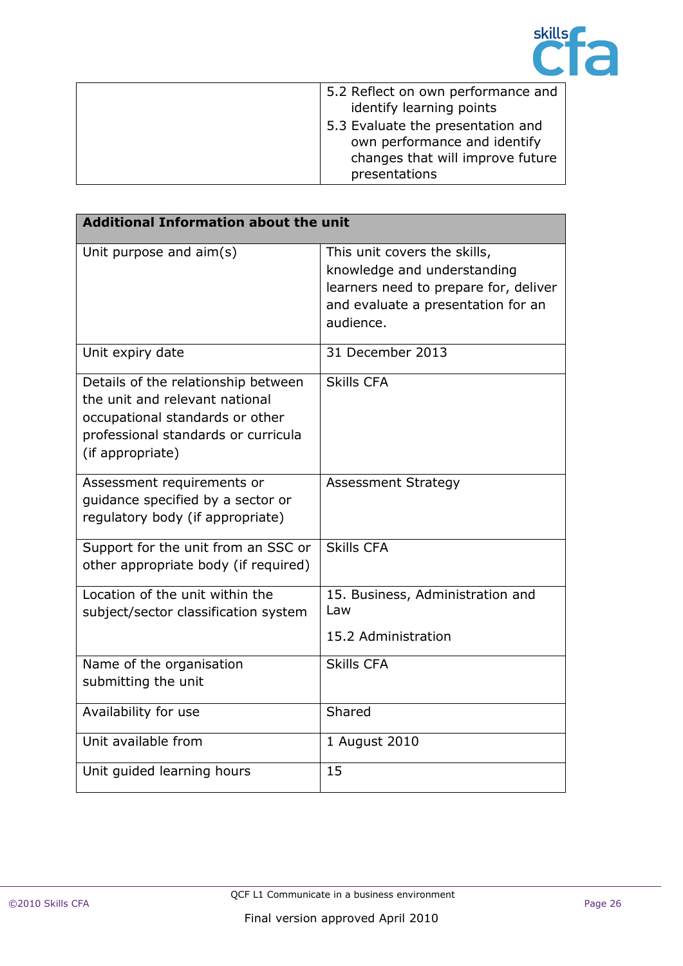

| 5.2 Reflect on own performance and<br>identify learning points                                                         |
|------------------------------------------------------------------------------------------------------------------------|
| 5.3 Evaluate the presentation and<br>own performance and identify<br>changes that will improve future<br>presentations |

| <b>Additional Information about the unit</b>                                                                                                                        |                                                                                                                                                         |  |
|---------------------------------------------------------------------------------------------------------------------------------------------------------------------|---------------------------------------------------------------------------------------------------------------------------------------------------------|--|
| Unit purpose and aim(s)                                                                                                                                             | This unit covers the skills,<br>knowledge and understanding<br>learners need to prepare for, deliver<br>and evaluate a presentation for an<br>audience. |  |
| Unit expiry date                                                                                                                                                    | 31 December 2013                                                                                                                                        |  |
| Details of the relationship between<br>the unit and relevant national<br>occupational standards or other<br>professional standards or curricula<br>(if appropriate) | <b>Skills CFA</b>                                                                                                                                       |  |
| Assessment requirements or<br>guidance specified by a sector or<br>regulatory body (if appropriate)                                                                 | <b>Assessment Strategy</b>                                                                                                                              |  |
| Support for the unit from an SSC or<br>other appropriate body (if required)                                                                                         | <b>Skills CFA</b>                                                                                                                                       |  |
| Location of the unit within the<br>subject/sector classification system                                                                                             | 15. Business, Administration and<br>Law<br>15.2 Administration                                                                                          |  |
| Name of the organisation<br>submitting the unit                                                                                                                     | <b>Skills CFA</b>                                                                                                                                       |  |
| Availability for use                                                                                                                                                | Shared                                                                                                                                                  |  |
| Unit available from                                                                                                                                                 | 1 August 2010                                                                                                                                           |  |
| Unit guided learning hours                                                                                                                                          | 15                                                                                                                                                      |  |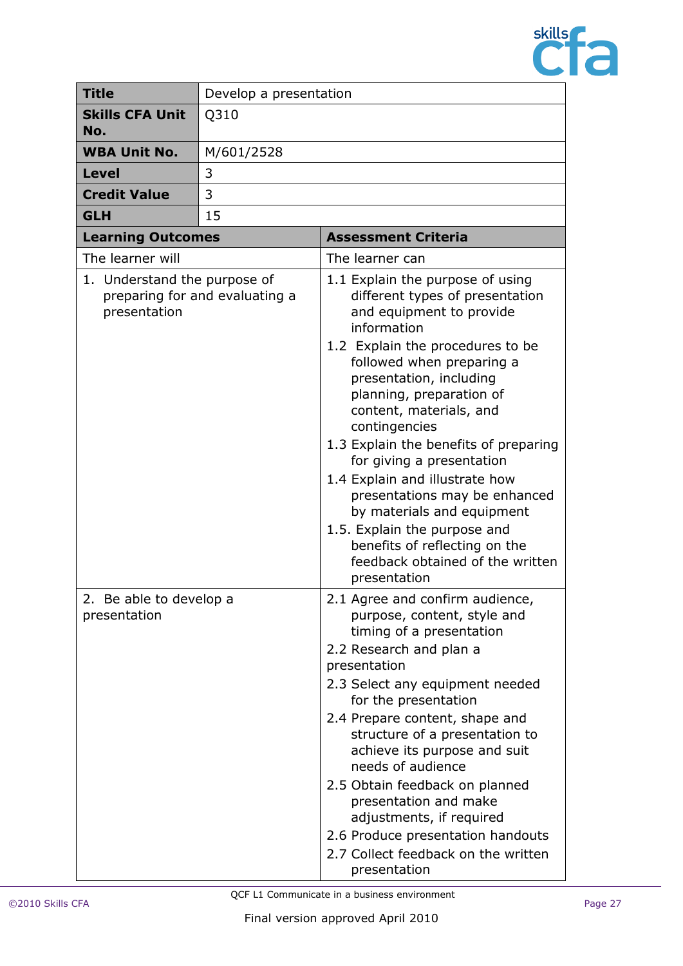

| <b>Title</b>                                 | Develop a presentation         |                                                                                                                                                                                                                                                                                                                                                                                                                                                                                                                                                                                |
|----------------------------------------------|--------------------------------|--------------------------------------------------------------------------------------------------------------------------------------------------------------------------------------------------------------------------------------------------------------------------------------------------------------------------------------------------------------------------------------------------------------------------------------------------------------------------------------------------------------------------------------------------------------------------------|
| <b>Skills CFA Unit</b><br>No.                | Q310                           |                                                                                                                                                                                                                                                                                                                                                                                                                                                                                                                                                                                |
| <b>WBA Unit No.</b>                          | M/601/2528                     |                                                                                                                                                                                                                                                                                                                                                                                                                                                                                                                                                                                |
| <b>Level</b>                                 | 3                              |                                                                                                                                                                                                                                                                                                                                                                                                                                                                                                                                                                                |
| <b>Credit Value</b>                          | 3                              |                                                                                                                                                                                                                                                                                                                                                                                                                                                                                                                                                                                |
| <b>GLH</b>                                   | 15                             |                                                                                                                                                                                                                                                                                                                                                                                                                                                                                                                                                                                |
| <b>Learning Outcomes</b>                     |                                | <b>Assessment Criteria</b>                                                                                                                                                                                                                                                                                                                                                                                                                                                                                                                                                     |
| The learner will                             |                                | The learner can                                                                                                                                                                                                                                                                                                                                                                                                                                                                                                                                                                |
| 1. Understand the purpose of<br>presentation | preparing for and evaluating a | 1.1 Explain the purpose of using<br>different types of presentation<br>and equipment to provide<br>information<br>1.2 Explain the procedures to be<br>followed when preparing a<br>presentation, including<br>planning, preparation of<br>content, materials, and<br>contingencies<br>1.3 Explain the benefits of preparing<br>for giving a presentation<br>1.4 Explain and illustrate how<br>presentations may be enhanced<br>by materials and equipment<br>1.5. Explain the purpose and<br>benefits of reflecting on the<br>feedback obtained of the written<br>presentation |
| 2. Be able to develop a<br>presentation      |                                | 2.1 Agree and confirm audience,<br>purpose, content, style and<br>timing of a presentation<br>2.2 Research and plan a<br>presentation<br>2.3 Select any equipment needed<br>for the presentation<br>2.4 Prepare content, shape and<br>structure of a presentation to<br>achieve its purpose and suit<br>needs of audience<br>2.5 Obtain feedback on planned<br>presentation and make<br>adjustments, if required<br>2.6 Produce presentation handouts<br>2.7 Collect feedback on the written<br>presentation                                                                   |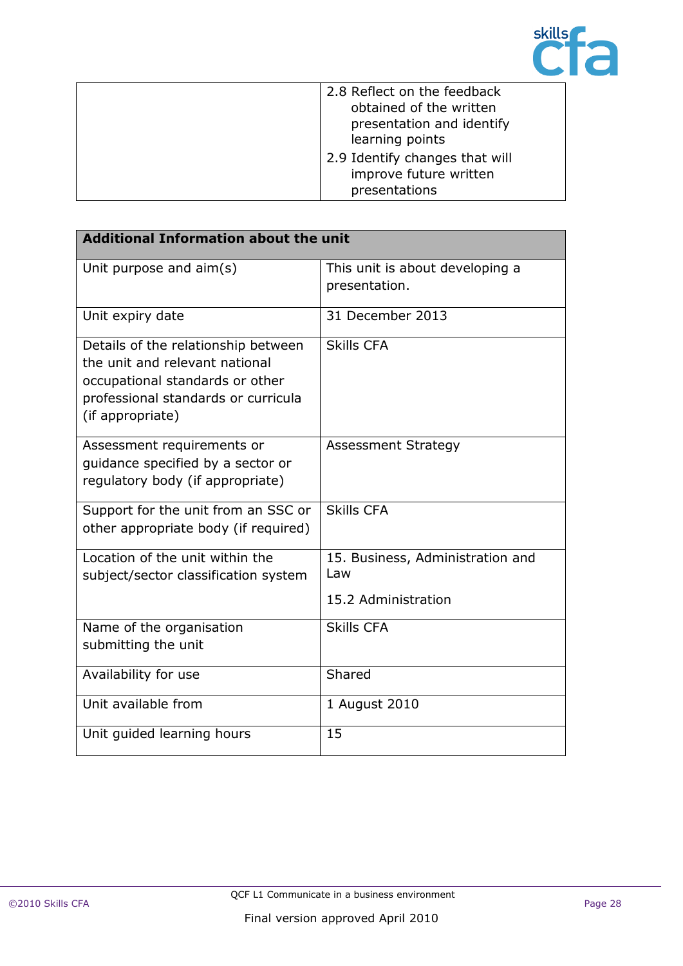

| 2.8 Reflect on the feedback    |
|--------------------------------|
| obtained of the written        |
| presentation and identify      |
| learning points                |
| 2.9 Identify changes that will |
| improve future written         |
| presentations                  |

| <b>Additional Information about the unit</b>                                                                                                                        |                                                                |  |
|---------------------------------------------------------------------------------------------------------------------------------------------------------------------|----------------------------------------------------------------|--|
| Unit purpose and aim(s)                                                                                                                                             | This unit is about developing a<br>presentation.               |  |
| Unit expiry date                                                                                                                                                    | 31 December 2013                                               |  |
| Details of the relationship between<br>the unit and relevant national<br>occupational standards or other<br>professional standards or curricula<br>(if appropriate) | <b>Skills CFA</b>                                              |  |
| Assessment requirements or<br>quidance specified by a sector or<br>regulatory body (if appropriate)                                                                 | <b>Assessment Strategy</b>                                     |  |
| Support for the unit from an SSC or<br>other appropriate body (if required)                                                                                         | <b>Skills CFA</b>                                              |  |
| Location of the unit within the<br>subject/sector classification system                                                                                             | 15. Business, Administration and<br>Law<br>15.2 Administration |  |
|                                                                                                                                                                     |                                                                |  |
| Name of the organisation<br>submitting the unit                                                                                                                     | <b>Skills CFA</b>                                              |  |
| Availability for use                                                                                                                                                | Shared                                                         |  |
| Unit available from                                                                                                                                                 | 1 August 2010                                                  |  |
| Unit guided learning hours                                                                                                                                          | 15                                                             |  |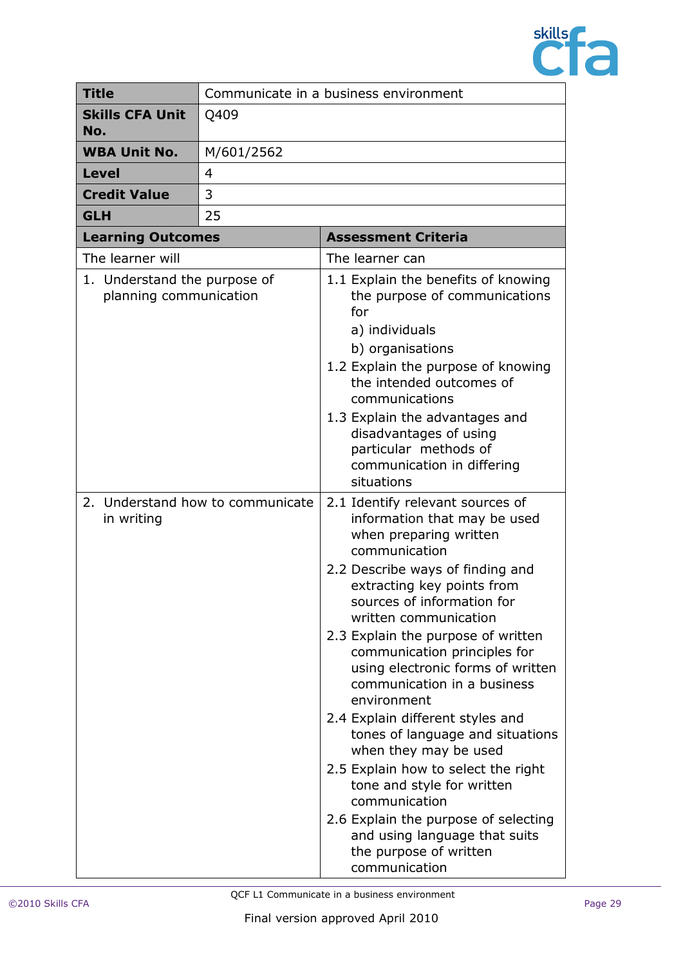

| <b>Title</b>                                           | Communicate in a business environment |                                                                                                                                                                                                                                                                                                                                                                                                                                                                                                                                                                                                                                                                                         |  |
|--------------------------------------------------------|---------------------------------------|-----------------------------------------------------------------------------------------------------------------------------------------------------------------------------------------------------------------------------------------------------------------------------------------------------------------------------------------------------------------------------------------------------------------------------------------------------------------------------------------------------------------------------------------------------------------------------------------------------------------------------------------------------------------------------------------|--|
| <b>Skills CFA Unit</b><br>No.                          | Q409                                  |                                                                                                                                                                                                                                                                                                                                                                                                                                                                                                                                                                                                                                                                                         |  |
| <b>WBA Unit No.</b>                                    | M/601/2562                            |                                                                                                                                                                                                                                                                                                                                                                                                                                                                                                                                                                                                                                                                                         |  |
| <b>Level</b>                                           | 4                                     |                                                                                                                                                                                                                                                                                                                                                                                                                                                                                                                                                                                                                                                                                         |  |
| <b>Credit Value</b>                                    | 3                                     |                                                                                                                                                                                                                                                                                                                                                                                                                                                                                                                                                                                                                                                                                         |  |
| <b>GLH</b>                                             | 25                                    |                                                                                                                                                                                                                                                                                                                                                                                                                                                                                                                                                                                                                                                                                         |  |
| <b>Learning Outcomes</b>                               |                                       | <b>Assessment Criteria</b>                                                                                                                                                                                                                                                                                                                                                                                                                                                                                                                                                                                                                                                              |  |
| The learner will                                       |                                       | The learner can                                                                                                                                                                                                                                                                                                                                                                                                                                                                                                                                                                                                                                                                         |  |
| 1. Understand the purpose of<br>planning communication |                                       | 1.1 Explain the benefits of knowing<br>the purpose of communications<br>for<br>a) individuals<br>b) organisations<br>1.2 Explain the purpose of knowing<br>the intended outcomes of<br>communications<br>1.3 Explain the advantages and<br>disadvantages of using<br>particular methods of<br>communication in differing<br>situations                                                                                                                                                                                                                                                                                                                                                  |  |
| 2. Understand how to communicate<br>in writing         |                                       | 2.1 Identify relevant sources of<br>information that may be used<br>when preparing written<br>communication<br>2.2 Describe ways of finding and<br>extracting key points from<br>sources of information for<br>written communication<br>2.3 Explain the purpose of written<br>communication principles for<br>using electronic forms of written<br>communication in a business<br>environment<br>2.4 Explain different styles and<br>tones of language and situations<br>when they may be used<br>2.5 Explain how to select the right<br>tone and style for written<br>communication<br>2.6 Explain the purpose of selecting<br>and using language that suits<br>the purpose of written |  |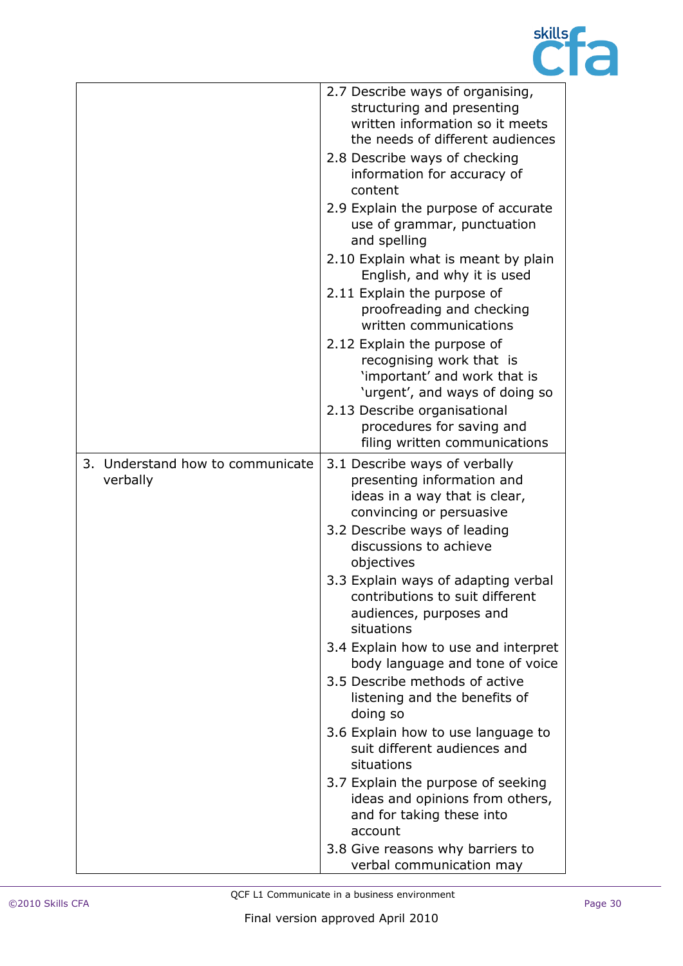

|                                  | 2.7 Describe ways of organising,                                   |
|----------------------------------|--------------------------------------------------------------------|
|                                  | structuring and presenting                                         |
|                                  | written information so it meets                                    |
|                                  | the needs of different audiences                                   |
|                                  | 2.8 Describe ways of checking                                      |
|                                  | information for accuracy of                                        |
|                                  | content                                                            |
|                                  | 2.9 Explain the purpose of accurate                                |
|                                  | use of grammar, punctuation                                        |
|                                  | and spelling                                                       |
|                                  | 2.10 Explain what is meant by plain<br>English, and why it is used |
|                                  | 2.11 Explain the purpose of                                        |
|                                  | proofreading and checking<br>written communications                |
|                                  | 2.12 Explain the purpose of                                        |
|                                  | recognising work that is                                           |
|                                  | 'important' and work that is                                       |
|                                  | 'urgent', and ways of doing so                                     |
|                                  | 2.13 Describe organisational                                       |
|                                  | procedures for saving and                                          |
|                                  | filing written communications                                      |
|                                  |                                                                    |
| 3. Understand how to communicate | 3.1 Describe ways of verbally                                      |
| verbally                         | presenting information and                                         |
|                                  | ideas in a way that is clear,                                      |
|                                  | convincing or persuasive                                           |
|                                  | 3.2 Describe ways of leading                                       |
|                                  | discussions to achieve                                             |
|                                  | objectives                                                         |
|                                  | 3.3 Explain ways of adapting verbal                                |
|                                  | contributions to suit different                                    |
|                                  | audiences, purposes and                                            |
|                                  | situations                                                         |
|                                  | 3.4 Explain how to use and interpret                               |
|                                  | body language and tone of voice                                    |
|                                  | 3.5 Describe methods of active                                     |
|                                  | listening and the benefits of                                      |
|                                  | doing so                                                           |
|                                  | 3.6 Explain how to use language to                                 |
|                                  | suit different audiences and                                       |
|                                  | situations                                                         |
|                                  | 3.7 Explain the purpose of seeking                                 |
|                                  | ideas and opinions from others,                                    |
|                                  | and for taking these into                                          |
|                                  | account                                                            |
|                                  |                                                                    |
|                                  | 3.8 Give reasons why barriers to                                   |
|                                  | verbal communication may                                           |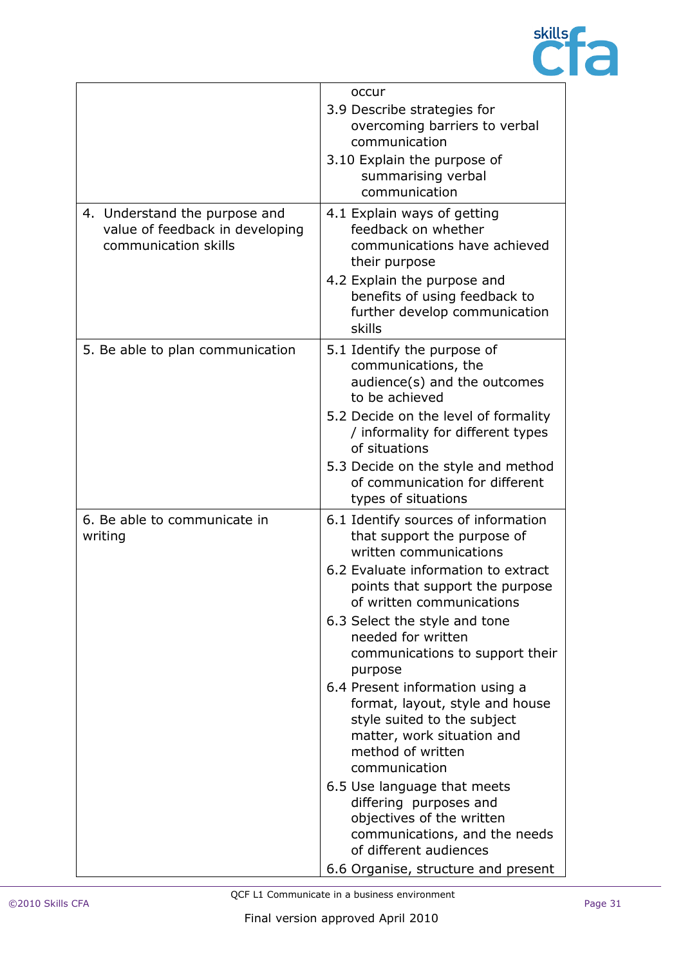

|                                                                                          | occur                                                                                                                                                                                                                                                                                                                                                                                                                                                                                                                                                                                                                                                                     |
|------------------------------------------------------------------------------------------|---------------------------------------------------------------------------------------------------------------------------------------------------------------------------------------------------------------------------------------------------------------------------------------------------------------------------------------------------------------------------------------------------------------------------------------------------------------------------------------------------------------------------------------------------------------------------------------------------------------------------------------------------------------------------|
|                                                                                          | 3.9 Describe strategies for<br>overcoming barriers to verbal<br>communication<br>3.10 Explain the purpose of<br>summarising verbal<br>communication                                                                                                                                                                                                                                                                                                                                                                                                                                                                                                                       |
| 4. Understand the purpose and<br>value of feedback in developing<br>communication skills | 4.1 Explain ways of getting<br>feedback on whether<br>communications have achieved<br>their purpose<br>4.2 Explain the purpose and<br>benefits of using feedback to<br>further develop communication<br>skills                                                                                                                                                                                                                                                                                                                                                                                                                                                            |
| 5. Be able to plan communication                                                         | 5.1 Identify the purpose of<br>communications, the<br>audience(s) and the outcomes<br>to be achieved<br>5.2 Decide on the level of formality<br>/ informality for different types<br>of situations<br>5.3 Decide on the style and method<br>of communication for different<br>types of situations                                                                                                                                                                                                                                                                                                                                                                         |
| 6. Be able to communicate in<br>writing                                                  | 6.1 Identify sources of information<br>that support the purpose of<br>written communications<br>6.2 Evaluate information to extract<br>points that support the purpose<br>of written communications<br>6.3 Select the style and tone<br>needed for written<br>communications to support their<br>purpose<br>6.4 Present information using a<br>format, layout, style and house<br>style suited to the subject<br>matter, work situation and<br>method of written<br>communication<br>6.5 Use language that meets<br>differing purposes and<br>objectives of the written<br>communications, and the needs<br>of different audiences<br>6.6 Organise, structure and present |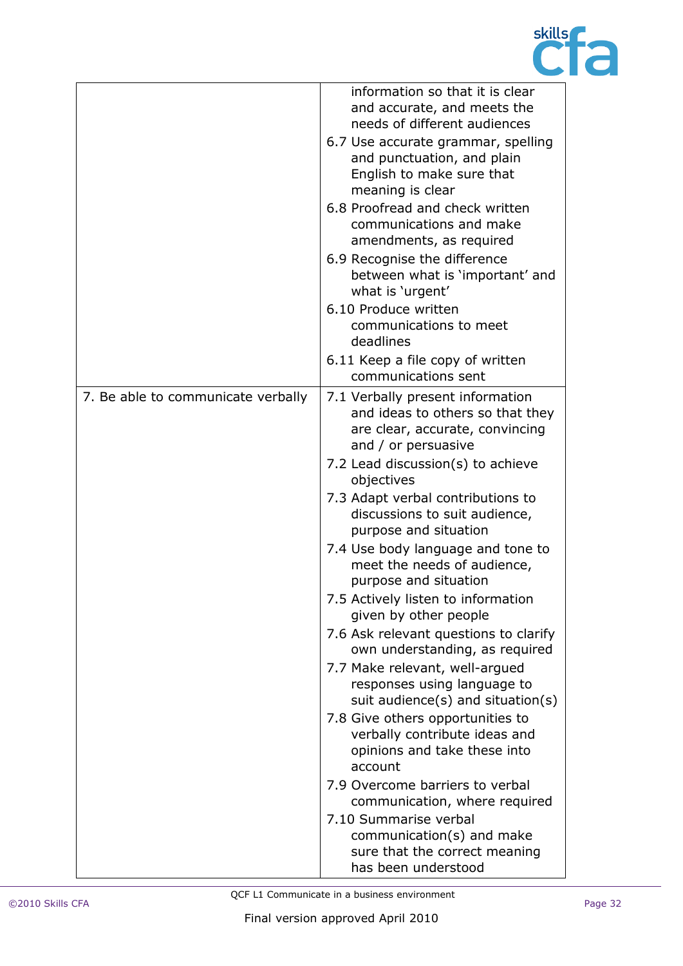

|                                    | information so that it is clear<br>and accurate, and meets the<br>needs of different audiences                                 |
|------------------------------------|--------------------------------------------------------------------------------------------------------------------------------|
|                                    | 6.7 Use accurate grammar, spelling<br>and punctuation, and plain<br>English to make sure that<br>meaning is clear              |
|                                    | 6.8 Proofread and check written<br>communications and make<br>amendments, as required                                          |
|                                    | 6.9 Recognise the difference<br>between what is 'important' and<br>what is 'urgent'                                            |
|                                    | 6.10 Produce written<br>communications to meet<br>deadlines                                                                    |
|                                    | 6.11 Keep a file copy of written<br>communications sent                                                                        |
| 7. Be able to communicate verbally | 7.1 Verbally present information<br>and ideas to others so that they<br>are clear, accurate, convincing<br>and / or persuasive |
|                                    | 7.2 Lead discussion(s) to achieve<br>objectives                                                                                |
|                                    | 7.3 Adapt verbal contributions to<br>discussions to suit audience,<br>purpose and situation                                    |
|                                    | 7.4 Use body language and tone to<br>meet the needs of audience,<br>purpose and situation                                      |
|                                    | 7.5 Actively listen to information<br>given by other people                                                                    |
|                                    | 7.6 Ask relevant questions to clarify<br>own understanding, as required                                                        |
|                                    | 7.7 Make relevant, well-argued<br>responses using language to<br>suit audience( $s$ ) and situation( $s$ )                     |
|                                    | 7.8 Give others opportunities to<br>verbally contribute ideas and<br>opinions and take these into<br>account                   |
|                                    | 7.9 Overcome barriers to verbal<br>communication, where required                                                               |
|                                    | 7.10 Summarise verbal<br>communication(s) and make<br>sure that the correct meaning<br>has been understood                     |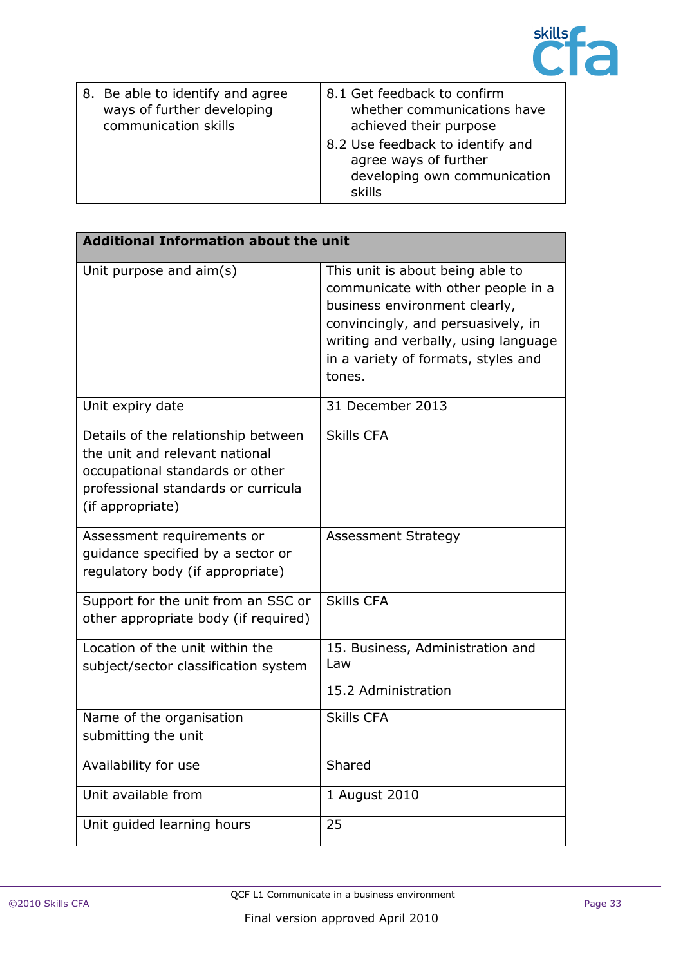

|  | 8. Be able to identify and agree<br>ways of further developing<br>communication skills |  | 8.1 Get feedback to confirm<br>whether communications have<br>achieved their purpose<br>8.2 Use feedback to identify and<br>agree ways of further<br>developing own communication<br>skills |
|--|----------------------------------------------------------------------------------------|--|---------------------------------------------------------------------------------------------------------------------------------------------------------------------------------------------|
|--|----------------------------------------------------------------------------------------|--|---------------------------------------------------------------------------------------------------------------------------------------------------------------------------------------------|

| <b>Additional Information about the unit</b>                                                                                                                        |                                                                                                                                                                                                                                        |  |
|---------------------------------------------------------------------------------------------------------------------------------------------------------------------|----------------------------------------------------------------------------------------------------------------------------------------------------------------------------------------------------------------------------------------|--|
| Unit purpose and $aim(s)$                                                                                                                                           | This unit is about being able to<br>communicate with other people in a<br>business environment clearly,<br>convincingly, and persuasively, in<br>writing and verbally, using language<br>in a variety of formats, styles and<br>tones. |  |
| Unit expiry date                                                                                                                                                    | 31 December 2013                                                                                                                                                                                                                       |  |
| Details of the relationship between<br>the unit and relevant national<br>occupational standards or other<br>professional standards or curricula<br>(if appropriate) | <b>Skills CFA</b>                                                                                                                                                                                                                      |  |
| Assessment requirements or<br>guidance specified by a sector or<br>regulatory body (if appropriate)                                                                 | <b>Assessment Strategy</b>                                                                                                                                                                                                             |  |
| Support for the unit from an SSC or<br>other appropriate body (if required)                                                                                         | <b>Skills CFA</b>                                                                                                                                                                                                                      |  |
| Location of the unit within the<br>subject/sector classification system                                                                                             | 15. Business, Administration and<br>Law<br>15.2 Administration                                                                                                                                                                         |  |
| Name of the organisation<br>submitting the unit                                                                                                                     | <b>Skills CFA</b>                                                                                                                                                                                                                      |  |
| Availability for use                                                                                                                                                | Shared                                                                                                                                                                                                                                 |  |
| Unit available from                                                                                                                                                 | 1 August 2010                                                                                                                                                                                                                          |  |
| Unit guided learning hours                                                                                                                                          | 25                                                                                                                                                                                                                                     |  |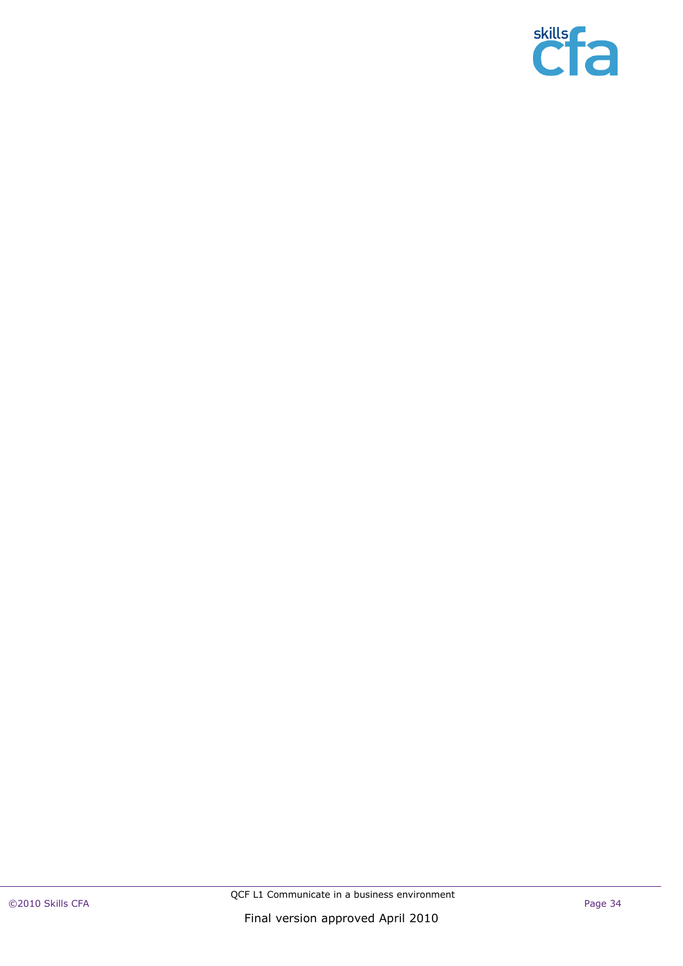